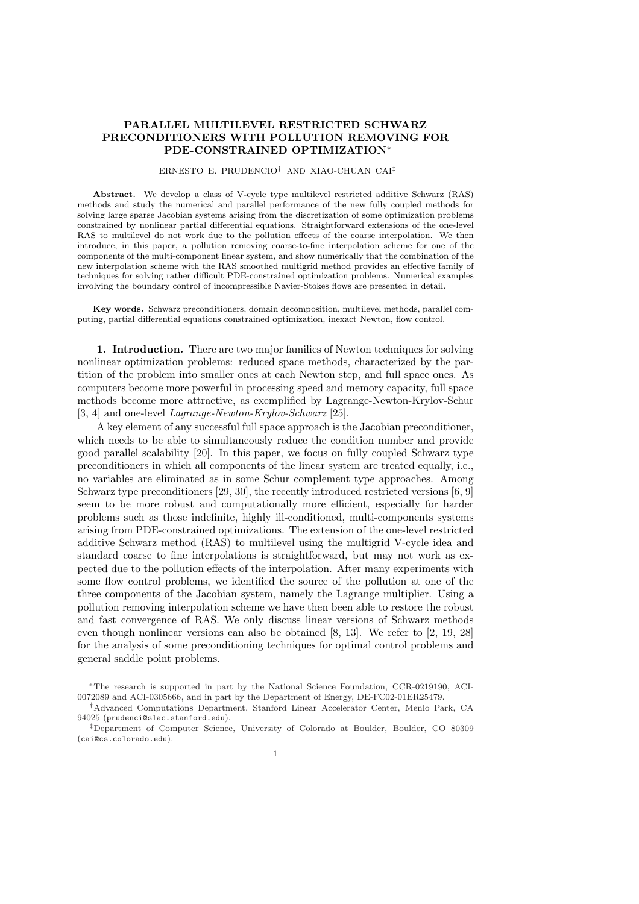# PARALLEL MULTILEVEL RESTRICTED SCHWARZ PRECONDITIONERS WITH POLLUTION REMOVING FOR PDE-CONSTRAINED OPTIMIZATION<sup>∗</sup>

# ERNESTO E. PRUDENCIO† AND XIAO-CHUAN CAI‡

Abstract. We develop a class of V-cycle type multilevel restricted additive Schwarz (RAS) methods and study the numerical and parallel performance of the new fully coupled methods for solving large sparse Jacobian systems arising from the discretization of some optimization problems constrained by nonlinear partial differential equations. Straightforward extensions of the one-level RAS to multilevel do not work due to the pollution effects of the coarse interpolation. We then introduce, in this paper, a pollution removing coarse-to-fine interpolation scheme for one of the components of the multi-component linear system, and show numerically that the combination of the new interpolation scheme with the RAS smoothed multigrid method provides an effective family of techniques for solving rather difficult PDE-constrained optimization problems. Numerical examples involving the boundary control of incompressible Navier-Stokes flows are presented in detail.

Key words. Schwarz preconditioners, domain decomposition, multilevel methods, parallel computing, partial differential equations constrained optimization, inexact Newton, flow control.

1. Introduction. There are two major families of Newton techniques for solving nonlinear optimization problems: reduced space methods, characterized by the partition of the problem into smaller ones at each Newton step, and full space ones. As computers become more powerful in processing speed and memory capacity, full space methods become more attractive, as exemplified by Lagrange-Newton-Krylov-Schur [3, 4] and one-level Lagrange-Newton-Krylov-Schwarz [25].

A key element of any successful full space approach is the Jacobian preconditioner, which needs to be able to simultaneously reduce the condition number and provide good parallel scalability [20]. In this paper, we focus on fully coupled Schwarz type preconditioners in which all components of the linear system are treated equally, i.e., no variables are eliminated as in some Schur complement type approaches. Among Schwarz type preconditioners [29, 30], the recently introduced restricted versions [6, 9] seem to be more robust and computationally more efficient, especially for harder problems such as those indefinite, highly ill-conditioned, multi-components systems arising from PDE-constrained optimizations. The extension of the one-level restricted additive Schwarz method (RAS) to multilevel using the multigrid V-cycle idea and standard coarse to fine interpolations is straightforward, but may not work as expected due to the pollution effects of the interpolation. After many experiments with some flow control problems, we identified the source of the pollution at one of the three components of the Jacobian system, namely the Lagrange multiplier. Using a pollution removing interpolation scheme we have then been able to restore the robust and fast convergence of RAS. We only discuss linear versions of Schwarz methods even though nonlinear versions can also be obtained [8, 13]. We refer to [2, 19, 28] for the analysis of some preconditioning techniques for optimal control problems and general saddle point problems.

<sup>∗</sup>The research is supported in part by the National Science Foundation, CCR-0219190, ACI-0072089 and ACI-0305666, and in part by the Department of Energy, DE-FC02-01ER25479.

<sup>†</sup>Advanced Computations Department, Stanford Linear Accelerator Center, Menlo Park, CA 94025 (prudenci@slac.stanford.edu).

<sup>‡</sup>Department of Computer Science, University of Colorado at Boulder, Boulder, CO 80309 (cai@cs.colorado.edu).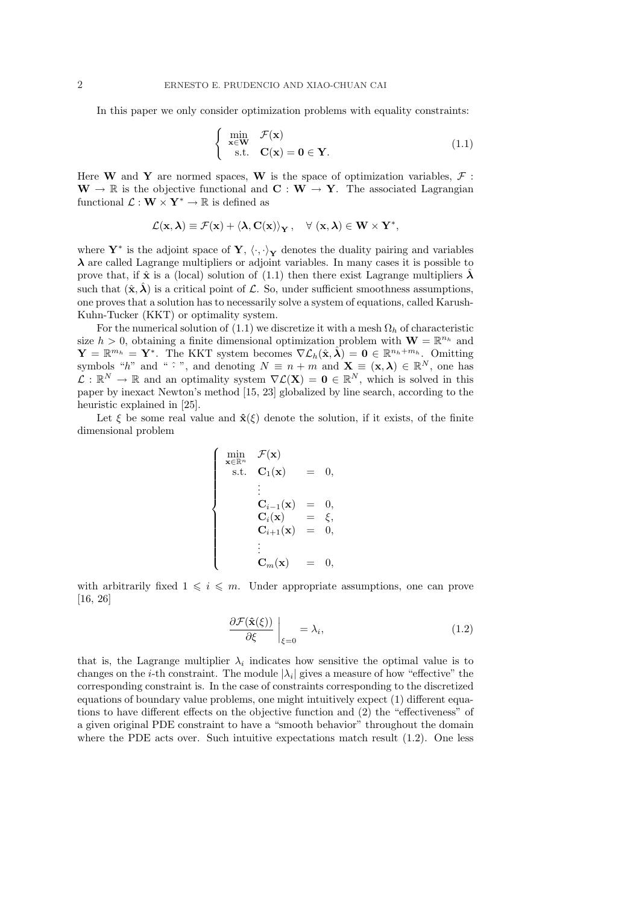In this paper we only consider optimization problems with equality constraints:

$$
\begin{cases}\n\min_{\mathbf{x} \in \mathbf{W}} & \mathcal{F}(\mathbf{x}) \\
\text{s.t.} & \mathbf{C}(\mathbf{x}) = \mathbf{0} \in \mathbf{Y}.\n\end{cases}
$$
\n(1.1)

Here W and Y are normed spaces, W is the space of optimization variables,  $\mathcal F$  :  $W \to \mathbb{R}$  is the objective functional and  $C : W \to Y$ . The associated Lagrangian functional  $\mathcal{L}: \mathbf{W} \times \mathbf{Y}^* \to \mathbb{R}$  is defined as

$$
\mathcal{L}(\mathbf{x}, \boldsymbol{\lambda}) \equiv \mathcal{F}(\mathbf{x}) + \langle \boldsymbol{\lambda}, \mathbf{C}(\mathbf{x}) \rangle_{\mathbf{Y}}, \quad \forall (\mathbf{x}, \boldsymbol{\lambda}) \in \mathbf{W} \times \mathbf{Y}^*,
$$

where  $\mathbf{Y}^{*}$  is the adjoint space of  $\mathbf{Y}, \langle \cdot, \cdot \rangle_{\mathbf{Y}}$  denotes the duality pairing and variables  $\lambda$  are called Lagrange multipliers or adjoint variables. In many cases it is possible to prove that, if  $\hat{\mathbf{x}}$  is a (local) solution of (1.1) then there exist Lagrange multipliers  $\hat{\mathbf{\lambda}}$ such that  $(\hat{\mathbf{x}}, \hat{\boldsymbol{\lambda}})$  is a critical point of  $\mathcal{L}$ . So, under sufficient smoothness assumptions, one proves that a solution has to necessarily solve a system of equations, called Karush-Kuhn-Tucker (KKT) or optimality system.

For the numerical solution of (1.1) we discretize it with a mesh  $\Omega_h$  of characteristic size  $h > 0$ , obtaining a finite dimensional optimization problem with  $\mathbf{W} = \mathbb{R}^{n_h}$  and  $\mathbf{Y} = \mathbb{R}^{m_h} = \mathbf{Y}^*$ . The KKT system becomes  $\nabla \mathcal{L}_h(\hat{\mathbf{x}}, \hat{\boldsymbol{\lambda}}) = \mathbf{0} \in \mathbb{R}^{n_h + m_h}$ . Omitting symbols "h" and "  $\hat{\cdot}$ ", and denoting  $N \equiv n + m$  and  $\mathbf{X} \equiv (\mathbf{x}, \lambda) \in \mathbb{R}^N$ , one has  $\mathcal{L}: \mathbb{R}^N \to \mathbb{R}$  and an optimality system  $\nabla \mathcal{L}(\mathbf{X}) = \mathbf{0} \in \mathbb{R}^N$ , which is solved in this paper by inexact Newton's method [15, 23] globalized by line search, according to the heuristic explained in [25].

Let  $\xi$  be some real value and  $\hat{\mathbf{x}}(\xi)$  denote the solution, if it exists, of the finite dimensional problem

$$
\left\{\begin{array}{rcll} \min\limits_{\mathbf{x}\in\mathbb{R}^n} & \mathcal{F}(\mathbf{x}) & & \\ \text{s.t.} & \mathbf{C}_1(\mathbf{x}) & = & 0, \\ & & \vdots & \\ & & \mathbf{C}_{i-1}(\mathbf{x}) & = & 0, \\ & & & \mathbf{C}_i(\mathbf{x}) & = & \xi, \\ & & & & \mathbf{C}_{i+1}(\mathbf{x}) & = & 0, \\ & & & \vdots & \\ & & & & \mathbf{C}_m(\mathbf{x}) & = & 0, \end{array}\right.
$$

with arbitrarily fixed  $1 \leq i \leq m$ . Under appropriate assumptions, one can prove [16, 26]

$$
\frac{\partial \mathcal{F}(\hat{\mathbf{x}}(\xi))}{\partial \xi}\Big|_{\xi=0} = \lambda_i,\tag{1.2}
$$

that is, the Lagrange multiplier  $\lambda_i$  indicates how sensitive the optimal value is to changes on the *i*-th constraint. The module  $|\lambda_i|$  gives a measure of how "effective" the corresponding constraint is. In the case of constraints corresponding to the discretized equations of boundary value problems, one might intuitively expect (1) different equations to have different effects on the objective function and (2) the "effectiveness" of a given original PDE constraint to have a "smooth behavior" throughout the domain where the PDE acts over. Such intuitive expectations match result  $(1.2)$ . One less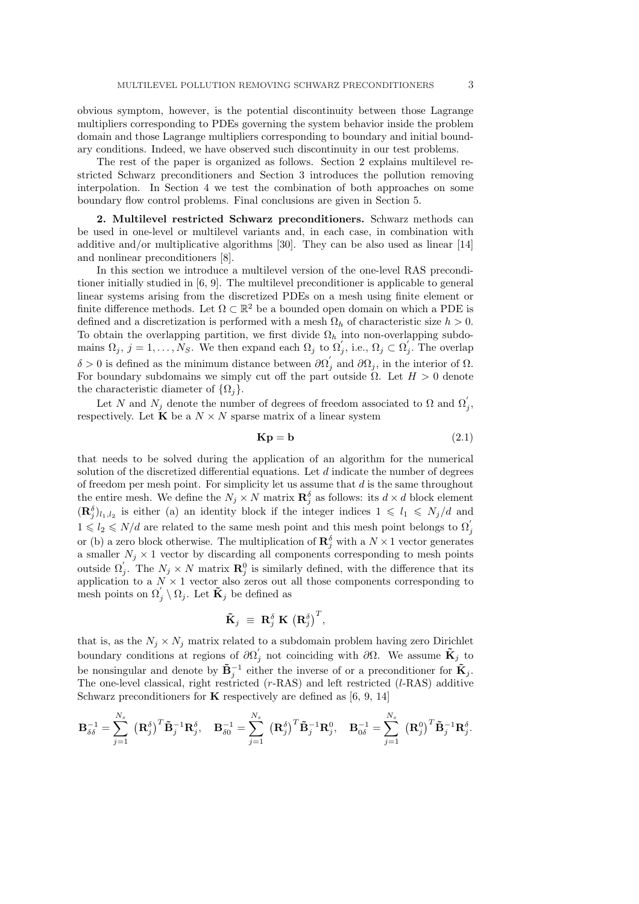obvious symptom, however, is the potential discontinuity between those Lagrange multipliers corresponding to PDEs governing the system behavior inside the problem domain and those Lagrange multipliers corresponding to boundary and initial boundary conditions. Indeed, we have observed such discontinuity in our test problems.

The rest of the paper is organized as follows. Section 2 explains multilevel restricted Schwarz preconditioners and Section 3 introduces the pollution removing interpolation. In Section 4 we test the combination of both approaches on some boundary flow control problems. Final conclusions are given in Section 5.

2. Multilevel restricted Schwarz preconditioners. Schwarz methods can be used in one-level or multilevel variants and, in each case, in combination with additive and/or multiplicative algorithms [30]. They can be also used as linear [14] and nonlinear preconditioners [8].

In this section we introduce a multilevel version of the one-level RAS preconditioner initially studied in [6, 9]. The multilevel preconditioner is applicable to general linear systems arising from the discretized PDEs on a mesh using finite element or finite difference methods. Let  $\Omega \subset \mathbb{R}^2$  be a bounded open domain on which a PDE is defined and a discretization is performed with a mesh  $\Omega_h$  of characteristic size  $h > 0$ . To obtain the overlapping partition, we first divide  $\Omega_h$  into non-overlapping subdomains  $\Omega_j$ ,  $j = 1, \ldots, N_S$ . We then expand each  $\Omega_j$  to  $\Omega'_j$ , i.e.,  $\Omega_j \subset \Omega'_j$ . The overlap δ > 0 is defined as the minimum distance between  $\partial\Omega'_j$  and  $\partial\Omega_j$ , in the interior of  $\Omega$ . For boundary subdomains we simply cut off the part outside  $\Omega$ . Let  $H > 0$  denote the characteristic diameter of  $\{\Omega_i\}.$ 

Let N and  $N_j$  denote the number of degrees of freedom associated to  $\Omega$  and  $\Omega'_j$ , respectively. Let **K** be a  $N \times N$  sparse matrix of a linear system

$$
\mathbf{Kp} = \mathbf{b} \tag{2.1}
$$

that needs to be solved during the application of an algorithm for the numerical solution of the discretized differential equations. Let  $d$  indicate the number of degrees of freedom per mesh point. For simplicity let us assume that  $d$  is the same throughout the entire mesh. We define the  $N_j \times N$  matrix  $\mathbf{R}_j^{\delta}$  as follows: its  $d \times d$  block element  $(\mathbf{R}_{j}^{\delta})_{l_1,l_2}$  is either (a) an identity block if the integer indices  $1 \leq l_1 \leq N_j/d$  and  $1 \leq l_2 \leq N/d$  are related to the same mesh point and this mesh point belongs to  $\Omega'_j$ or (b) a zero block otherwise. The multiplication of  $\mathbf{R}_j^{\delta}$  with a  $N \times 1$  vector generates a smaller  $N_j \times 1$  vector by discarding all components corresponding to mesh points outside  $\Omega'_j$ . The  $N_j \times N$  matrix  $\mathbf{R}_j^0$  is similarly defined, with the difference that its application to a  $N \times 1$  vector also zeros out all those components corresponding to mesh points on  $\Omega'_j \setminus \Omega_j$ . Let  $\tilde{\mathbf{K}}_j$  be defined as

$$
\tilde{\mathbf{K}}_j \; \equiv \; \mathbf{R}_j^{\delta} \; \mathbf{K} \; \left(\mathbf{R}_j^{\delta}\right)^T,
$$

that is, as the  $N_j \times N_j$  matrix related to a subdomain problem having zero Dirichlet boundary conditions at regions of  $\partial \Omega'_{j}$  not coinciding with  $\partial \Omega$ . We assume  $\tilde{\mathbf{K}}_{j}$  to be nonsingular and denote by  $\tilde{\mathbf{B}}_j^{-1}$  either the inverse of or a preconditioner for  $\tilde{\mathbf{K}}_j$ . The one-level classical, right restricted  $(r-RAS)$  and left restricted  $(l-RAS)$  additive Schwarz preconditioners for  $\bf{K}$  respectively are defined as [6, 9, 14]

$$
\mathbf{B}_{\delta\delta}^{-1} = \sum_{j=1}^{N_s} \left( \mathbf{R}_j^{\delta} \right)^T \tilde{\mathbf{B}}_j^{-1} \mathbf{R}_j^{\delta}, \quad \mathbf{B}_{\delta 0}^{-1} = \sum_{j=1}^{N_s} \left( \mathbf{R}_j^{\delta} \right)^T \tilde{\mathbf{B}}_j^{-1} \mathbf{R}_j^0, \quad \mathbf{B}_{0\delta}^{-1} = \sum_{j=1}^{N_s} \left( \mathbf{R}_j^0 \right)^T \tilde{\mathbf{B}}_j^{-1} \mathbf{R}_j^{\delta}.
$$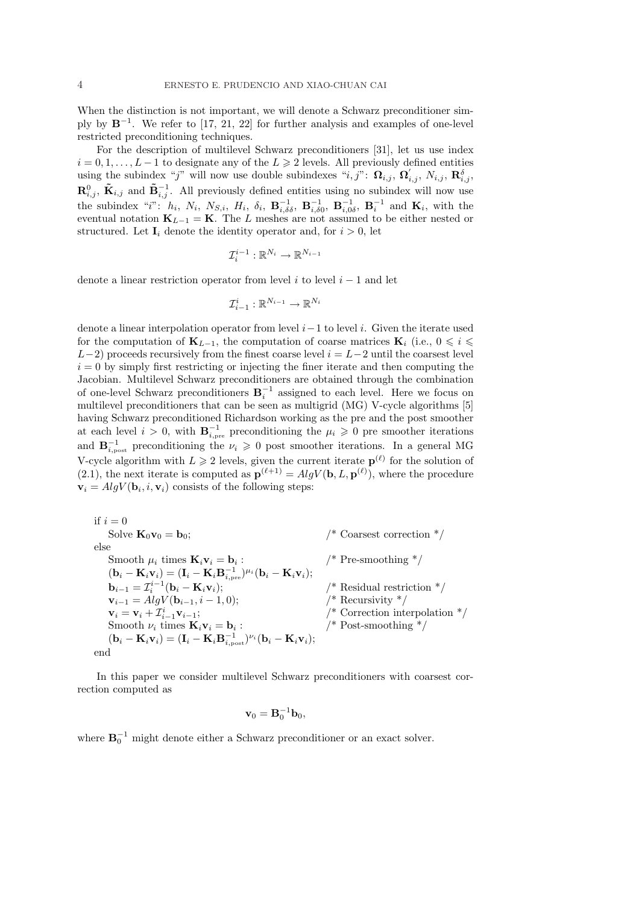When the distinction is not important, we will denote a Schwarz preconditioner simply by  $B^{-1}$ . We refer to [17, 21, 22] for further analysis and examples of one-level restricted preconditioning techniques.

For the description of multilevel Schwarz preconditioners [31], let us use index  $i = 0, 1, \ldots, L-1$  to designate any of the  $L \geq 2$  levels. All previously defined entities using the subindex "j" will now use double subindexes " $i, j$ ":  $\mathbf{\Omega}_{i,j}, \mathbf{\Omega}'_{i,j}, N_{i,j}, \mathbf{R}_{i,j}^{\delta}$  $\mathbf{R}^0_{i,j}$ ,  $\tilde{\mathbf{K}}_{i,j}$  and  $\tilde{\mathbf{B}}_{i,j}^{-1}$ . All previously defined entities using no subindex will now use the subindex "i":  $h_i$ ,  $N_i$ ,  $N_{S,i}$ ,  $H_i$ ,  $\delta_i$ ,  $\mathbf{B}_{i,\delta\delta}^{-1}$ ,  $\mathbf{B}_{i,\delta0}^{-1}$ ,  $\mathbf{B}_{i,0\delta}^{-1}$ ,  $\mathbf{B}_{i}^{-1}$  and  $\mathbf{K}_i$ , with the eventual notation  $\mathbf{K}_{L-1} = \mathbf{K}$ . The L meshes are not assumed to be either nested or structured. Let  $I_i$  denote the identity operator and, for  $i > 0$ , let

$$
\mathcal{I}_i^{i-1}:\mathbb{R}^{N_i}\rightarrow\mathbb{R}^{N_{i-1}}
$$

denote a linear restriction operator from level  $i$  to level  $i - 1$  and let

$$
\mathcal{I}_{i-1}^i: \mathbb{R}^{N_{i-1}} \to \mathbb{R}^{N_i}
$$

denote a linear interpolation operator from level  $i-1$  to level i. Given the iterate used for the computation of  $\mathbf{K}_{L-1}$ , the computation of coarse matrices  $\mathbf{K}_i$  (i.e.,  $0 \leqslant i \leqslant n$ )  $L-2$ ) proceeds recursively from the finest coarse level  $i = L-2$  until the coarsest level  $i = 0$  by simply first restricting or injecting the finer iterate and then computing the Jacobian. Multilevel Schwarz preconditioners are obtained through the combination of one-level Schwarz preconditioners  $B_i^{-1}$  assigned to each level. Here we focus on multilevel preconditioners that can be seen as multigrid (MG) V-cycle algorithms [5] having Schwarz preconditioned Richardson working as the pre and the post smoother at each level  $i > 0$ , with  $\mathbf{B}_{i,\text{pre}}^{-1}$  preconditioning the  $\mu_i \geqslant 0$  pre smoother iterations and  $\mathbf{B}_{i,\text{post}}^{-1}$  preconditioning the  $\nu_i \geqslant 0$  post smoother iterations. In a general MG V-cycle algorithm with  $L \geq 2$  levels, given the current iterate  $p^{(\ell)}$  for the solution of (2.1), the next iterate is computed as  $\mathbf{p}^{(\ell+1)} = AlgV(\mathbf{b}, L, \mathbf{p}^{(\ell)})$ , where the procedure  $\mathbf{v}_i = AlgV(\mathbf{b}_i, i, \mathbf{v}_i)$  consists of the following steps:

if  $i = 0$ Solve  $\mathbf{K}_0 \mathbf{v}_0 = \mathbf{b}_0;$  /\* Coarsest correction \*/ else Smooth  $\mu_i$  times  $\mathbf{K}_i \mathbf{v}_i = \mathbf{b}_i$ /\* Pre-smoothing  $*/$  $(\mathbf{b}_i - \mathbf{K}_i \mathbf{v}_i) = (\mathbf{I}_i - \mathbf{K}_i \mathbf{B}_{i,\text{pre}}^{-1})^{\mu_i} (\mathbf{b}_i - \mathbf{K}_i \mathbf{v}_i);$  $\mathbf{b}_{i-1} = \mathcal{I}_i^{i-1}$  $/*$  Residual restriction  $*/$  **/\* Recursivity \*/**  $v_i = v_i + \mathcal{I}_{i-1}^i v_{i-1};$  /\* Correction interpolation \*/ Smooth  $\nu_i$  times  $\mathbf{K}_i \mathbf{v}_i = \mathbf{b}_i$  $/*$  Post-smoothing  $*/$  $(\mathbf{b}_i - \mathbf{K}_i \mathbf{v}_i) = (\mathbf{I}_i - \mathbf{K}_i \mathbf{B}_{i,\text{post}}^{-1})^{\nu_i} (\mathbf{b}_i - \mathbf{K}_i \mathbf{v}_i);$ end

In this paper we consider multilevel Schwarz preconditioners with coarsest correction computed as

$$
\mathbf{v}_0 = \mathbf{B}_0^{-1} \mathbf{b}_0,
$$

where  $\mathbf{B}_0^{-1}$  might denote either a Schwarz preconditioner or an exact solver.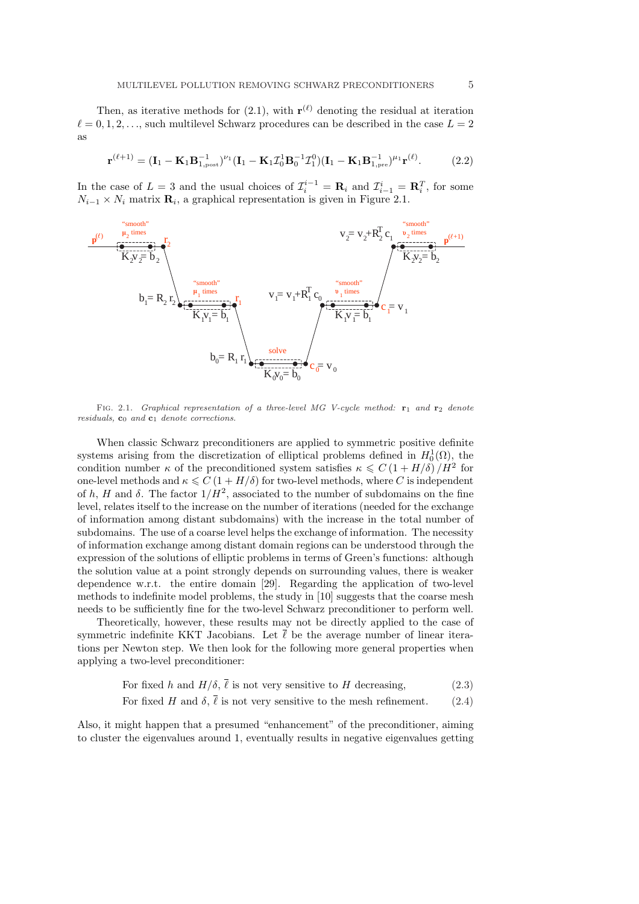Then, as iterative methods for (2.1), with  $\mathbf{r}^{(\ell)}$  denoting the residual at iteration  $\ell = 0, 1, 2, \ldots$ , such multilevel Schwarz procedures can be described in the case  $L = 2$ as

$$
\mathbf{r}^{(\ell+1)} = (\mathbf{I}_1 - \mathbf{K}_1 \mathbf{B}_{1,\text{post}}^{-1})^{\nu_1} (\mathbf{I}_1 - \mathbf{K}_1 \mathcal{I}_0^1 \mathbf{B}_0^{-1} \mathcal{I}_1^0) (\mathbf{I}_1 - \mathbf{K}_1 \mathbf{B}_{1,\text{pre}}^{-1})^{\mu_1} \mathbf{r}^{(\ell)}.
$$
 (2.2)

In the case of  $L = 3$  and the usual choices of  $\mathcal{I}_i^{i-1} = \mathbf{R}_i$  and  $\mathcal{I}_{i-1}^i = \mathbf{R}_i^T$ , for some  $N_{i-1} \times N_i$  matrix  $\mathbf{R}_i$ , a graphical representation is given in Figure 2.1.



FIG. 2.1. Graphical representation of a three-level MG V-cycle method:  $\mathbf{r}_1$  and  $\mathbf{r}_2$  denote residuals,  $\mathbf{c}_0$  and  $\mathbf{c}_1$  denote corrections.

When classic Schwarz preconditioners are applied to symmetric positive definite systems arising from the discretization of elliptical problems defined in  $H_0^1(\Omega)$ , the condition number  $\kappa$  of the preconditioned system satisfies  $\kappa \leq C \left(1 + H/\delta\right)/H^2$  for one-level methods and  $\kappa \leq C (1 + H/\delta)$  for two-level methods, where C is independent of h, H and  $\delta$ . The factor  $1/H^2$ , associated to the number of subdomains on the fine level, relates itself to the increase on the number of iterations (needed for the exchange of information among distant subdomains) with the increase in the total number of subdomains. The use of a coarse level helps the exchange of information. The necessity of information exchange among distant domain regions can be understood through the expression of the solutions of elliptic problems in terms of Green's functions: although the solution value at a point strongly depends on surrounding values, there is weaker dependence w.r.t. the entire domain [29]. Regarding the application of two-level methods to indefinite model problems, the study in [10] suggests that the coarse mesh needs to be sufficiently fine for the two-level Schwarz preconditioner to perform well.

Theoretically, however, these results may not be directly applied to the case of symmetric indefinite KKT Jacobians. Let  $\ell$  be the average number of linear iterations per Newton step. We then look for the following more general properties when applying a two-level preconditioner:

- For fixed h and  $H/\delta$ ,  $\bar{\ell}$  is not very sensitive to H decreasing, (2.3)
- For fixed H and  $\delta$ ,  $\bar{\ell}$  is not very sensitive to the mesh refinement. (2.4)

Also, it might happen that a presumed "enhancement" of the preconditioner, aiming to cluster the eigenvalues around 1, eventually results in negative eigenvalues getting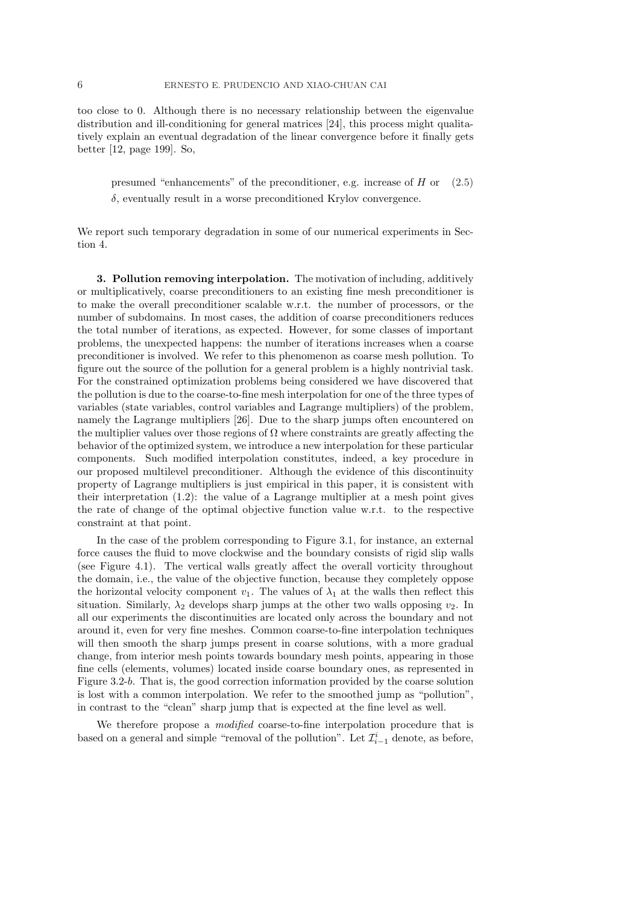too close to 0. Although there is no necessary relationship between the eigenvalue distribution and ill-conditioning for general matrices [24], this process might qualitatively explain an eventual degradation of the linear convergence before it finally gets better [12, page 199]. So,

presumed "enhancements" of the preconditioner, e.g. increase of  $H$  or  $(2.5)$ δ, eventually result in a worse preconditioned Krylov convergence.

We report such temporary degradation in some of our numerical experiments in Section 4.

3. Pollution removing interpolation. The motivation of including, additively or multiplicatively, coarse preconditioners to an existing fine mesh preconditioner is to make the overall preconditioner scalable w.r.t. the number of processors, or the number of subdomains. In most cases, the addition of coarse preconditioners reduces the total number of iterations, as expected. However, for some classes of important problems, the unexpected happens: the number of iterations increases when a coarse preconditioner is involved. We refer to this phenomenon as coarse mesh pollution. To figure out the source of the pollution for a general problem is a highly nontrivial task. For the constrained optimization problems being considered we have discovered that the pollution is due to the coarse-to-fine mesh interpolation for one of the three types of variables (state variables, control variables and Lagrange multipliers) of the problem, namely the Lagrange multipliers [26]. Due to the sharp jumps often encountered on the multiplier values over those regions of  $\Omega$  where constraints are greatly affecting the behavior of the optimized system, we introduce a new interpolation for these particular components. Such modified interpolation constitutes, indeed, a key procedure in our proposed multilevel preconditioner. Although the evidence of this discontinuity property of Lagrange multipliers is just empirical in this paper, it is consistent with their interpretation (1.2): the value of a Lagrange multiplier at a mesh point gives the rate of change of the optimal objective function value w.r.t. to the respective constraint at that point.

In the case of the problem corresponding to Figure 3.1, for instance, an external force causes the fluid to move clockwise and the boundary consists of rigid slip walls (see Figure 4.1). The vertical walls greatly affect the overall vorticity throughout the domain, i.e., the value of the objective function, because they completely oppose the horizontal velocity component  $v_1$ . The values of  $\lambda_1$  at the walls then reflect this situation. Similarly,  $\lambda_2$  develops sharp jumps at the other two walls opposing  $v_2$ . In all our experiments the discontinuities are located only across the boundary and not around it, even for very fine meshes. Common coarse-to-fine interpolation techniques will then smooth the sharp jumps present in coarse solutions, with a more gradual change, from interior mesh points towards boundary mesh points, appearing in those fine cells (elements, volumes) located inside coarse boundary ones, as represented in Figure 3.2-b. That is, the good correction information provided by the coarse solution is lost with a common interpolation. We refer to the smoothed jump as "pollution", in contrast to the "clean" sharp jump that is expected at the fine level as well.

We therefore propose a *modified* coarse-to-fine interpolation procedure that is based on a general and simple "removal of the pollution". Let  $\mathcal{I}_{i-1}^i$  denote, as before,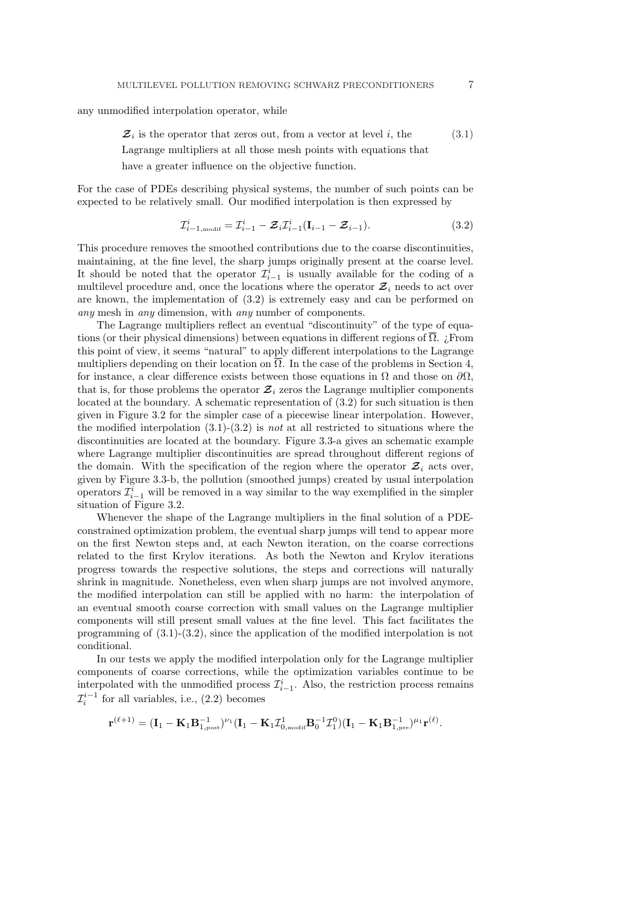any unmodified interpolation operator, while

 $\mathcal{Z}_i$  is the operator that zeros out, from a vector at level i, the (3.1) Lagrange multipliers at all those mesh points with equations that

have a greater influence on the objective function.

For the case of PDEs describing physical systems, the number of such points can be expected to be relatively small. Our modified interpolation is then expressed by

$$
\mathcal{I}_{i-1,\text{modif}}^i = \mathcal{I}_{i-1}^i - \mathcal{Z}_i \mathcal{I}_{i-1}^i (\mathbf{I}_{i-1} - \mathcal{Z}_{i-1}). \tag{3.2}
$$

This procedure removes the smoothed contributions due to the coarse discontinuities, maintaining, at the fine level, the sharp jumps originally present at the coarse level. It should be noted that the operator  $\mathcal{I}_{i-1}^i$  is usually available for the coding of a multilevel procedure and, once the locations where the operator  $\mathcal{Z}_i$  needs to act over are known, the implementation of (3.2) is extremely easy and can be performed on any mesh in any dimension, with any number of components.

The Lagrange multipliers reflect an eventual "discontinuity" of the type of equations (or their physical dimensions) between equations in different regions of  $\overline{\Omega}$ . *i*From this point of view, it seems "natural" to apply different interpolations to the Lagrange multipliers depending on their location on  $\Omega$ . In the case of the problems in Section 4, for instance, a clear difference exists between those equations in  $\Omega$  and those on  $\partial\Omega$ , that is, for those problems the operator  $\mathcal{Z}_i$  zeros the Lagrange multiplier components located at the boundary. A schematic representation of (3.2) for such situation is then given in Figure 3.2 for the simpler case of a piecewise linear interpolation. However, the modified interpolation  $(3.1)-(3.2)$  is not at all restricted to situations where the discontinuities are located at the boundary. Figure 3.3-a gives an schematic example where Lagrange multiplier discontinuities are spread throughout different regions of the domain. With the specification of the region where the operator  $\mathcal{Z}_i$  acts over, given by Figure 3.3-b, the pollution (smoothed jumps) created by usual interpolation operators  $\mathcal{I}_{i-1}^i$  will be removed in a way similar to the way exemplified in the simpler situation of Figure 3.2.

Whenever the shape of the Lagrange multipliers in the final solution of a PDEconstrained optimization problem, the eventual sharp jumps will tend to appear more on the first Newton steps and, at each Newton iteration, on the coarse corrections related to the first Krylov iterations. As both the Newton and Krylov iterations progress towards the respective solutions, the steps and corrections will naturally shrink in magnitude. Nonetheless, even when sharp jumps are not involved anymore, the modified interpolation can still be applied with no harm: the interpolation of an eventual smooth coarse correction with small values on the Lagrange multiplier components will still present small values at the fine level. This fact facilitates the programming of (3.1)-(3.2), since the application of the modified interpolation is not conditional.

In our tests we apply the modified interpolation only for the Lagrange multiplier components of coarse corrections, while the optimization variables continue to be interpolated with the unmodified process  $\mathcal{I}_{i-1}^i$ . Also, the restriction process remains  $\mathcal{I}_i^{i-1}$  for all variables, i.e.,  $(2.2)$  becomes

$$
\mathbf{r}^{(\ell+1)} = (\mathbf{I}_1 - \mathbf{K}_1 \mathbf{B}_{1,\mathrm{post}}^{-1})^{\nu_1} (\mathbf{I}_1 - \mathbf{K}_1 \mathcal{I}_{0,\mathrm{modif}}^1 \mathbf{B}_0^{-1} \mathcal{I}_1^0) (\mathbf{I}_1 - \mathbf{K}_1 \mathbf{B}_{1,\mathrm{pre}}^{-1})^{\mu_1} \mathbf{r}^{(\ell)}.
$$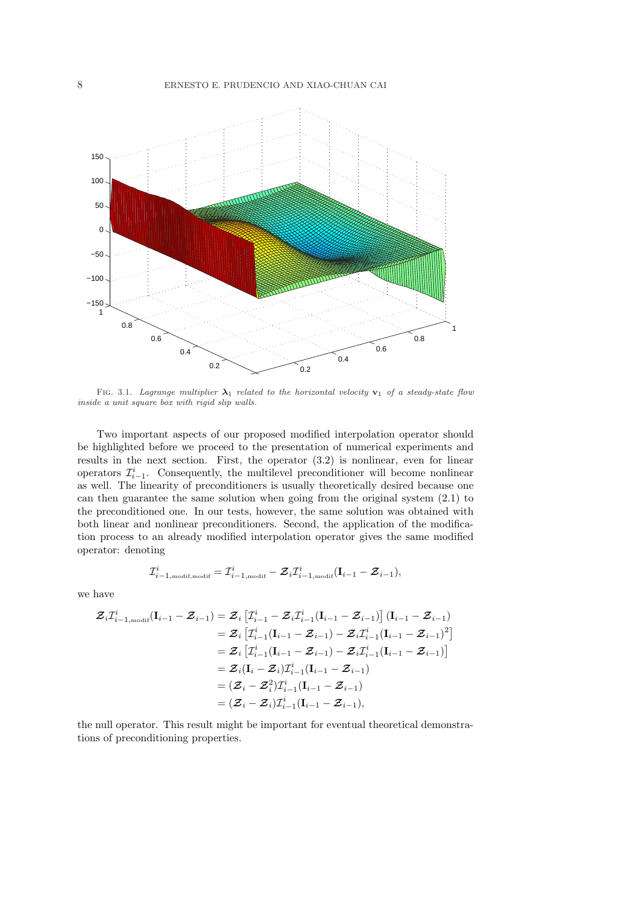

FIG. 3.1. Lagrange multiplier  $\lambda_1$  related to the horizontal velocity  $\mathbf{v}_1$  of a steady-state flow inside a unit square box with rigid slip walls.

Two important aspects of our proposed modified interpolation operator should be highlighted before we proceed to the presentation of numerical experiments and results in the next section. First, the operator (3.2) is nonlinear, even for linear operators  $\mathcal{I}_{i-1}^i$ . Consequently, the multilevel preconditioner will become nonlinear as well. The linearity of preconditioners is usually theoretically desired because one can then guarantee the same solution when going from the original system (2.1) to the preconditioned one. In our tests, however, the same solution was obtained with both linear and nonlinear preconditioners. Second, the application of the modification process to an already modified interpolation operator gives the same modified operator: denoting

$$
\mathcal{I}^i_{i-1,\text{modif},\text{modif}} = \mathcal{I}^i_{i-1,\text{modif}} - \boldsymbol{\mathcal{Z}}_i \mathcal{I}^i_{i-1,\text{modif}} (\mathbf{I}_{i-1} - \boldsymbol{\mathcal{Z}}_{i-1}),
$$

we have

$$
\begin{aligned} \mathcal{Z}_{i} \mathcal{I}_{i-1,\text{modif}}^{i} (\textbf{I}_{i-1} - \mathcal{Z}_{i-1}) & = \mathcal{Z}_{i} \left[ \mathcal{I}_{i-1}^{i} - \mathcal{Z}_{i} \mathcal{I}_{i-1}^{i} (\textbf{I}_{i-1} - \mathcal{Z}_{i-1}) \right] (\textbf{I}_{i-1} - \mathcal{Z}_{i-1}) \\ & = \mathcal{Z}_{i} \left[ \mathcal{I}_{i-1}^{i} (\textbf{I}_{i-1} - \mathcal{Z}_{i-1}) - \mathcal{Z}_{i} \mathcal{I}_{i-1}^{i} (\textbf{I}_{i-1} - \mathcal{Z}_{i-1})^{2} \right] \\ & = \mathcal{Z}_{i} \left[ \mathcal{I}_{i-1}^{i} (\textbf{I}_{i-1} - \mathcal{Z}_{i-1}) - \mathcal{Z}_{i} \mathcal{I}_{i-1}^{i} (\textbf{I}_{i-1} - \mathcal{Z}_{i-1}) \right] \\ & = \mathcal{Z}_{i} (\textbf{I}_{i} - \mathcal{Z}_{i}) \mathcal{I}_{i-1}^{i} (\textbf{I}_{i-1} - \mathcal{Z}_{i-1}) \\ & = (\mathcal{Z}_{i} - \mathcal{Z}_{i}^{2}) \mathcal{I}_{i-1}^{i} (\textbf{I}_{i-1} - \mathcal{Z}_{i-1}) \\ & = (\mathcal{Z}_{i} - \mathcal{Z}_{i}) \mathcal{I}_{i-1}^{i} (\textbf{I}_{i-1} - \mathcal{Z}_{i-1}), \end{aligned}
$$

the null operator. This result might be important for eventual theoretical demonstrations of preconditioning properties.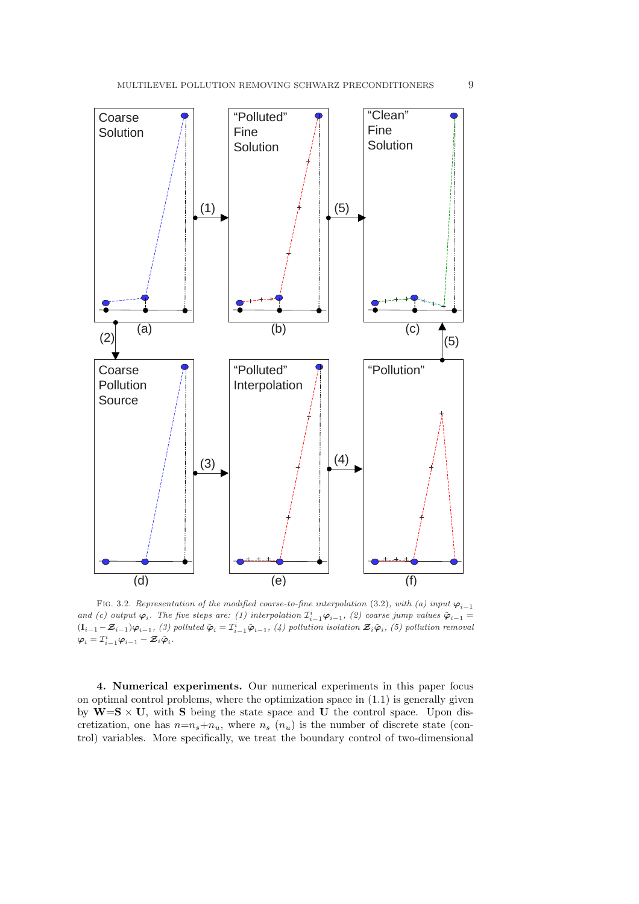

FIG. 3.2. Representation of the modified coarse-to-fine interpolation (3.2), with (a) input  $\varphi_{i-1}$ and (c) output  $\varphi_i$ . The five steps are: (1) interpolation  $\mathcal{I}_{i-1}^i \varphi_{i-1}$ , (2) coarse jump values  $\tilde{\varphi}_{i-1}$  =  $(\mathbf{I}_{i-1}-\boldsymbol{\mathcal{Z}}_{i-1})\boldsymbol{\varphi}_{i-1},$  (3) polluted  $\tilde{\boldsymbol{\varphi}}_i = \mathcal{I}_{i-1}^i\tilde{\boldsymbol{\varphi}}_{i-1},$  (4) pollution isolation  $\boldsymbol{\mathcal{Z}}_i\tilde{\boldsymbol{\varphi}}_i$ , (5) pollution removal  $\boldsymbol{\varphi}_i = \mathcal{I}_{i-1}^i \boldsymbol{\varphi}_{i-1} - \boldsymbol{\mathcal{Z}}_i \tilde{\boldsymbol{\varphi}}_i.$ 

4. Numerical experiments. Our numerical experiments in this paper focus on optimal control problems, where the optimization space in (1.1) is generally given by  $W=S \times U$ , with S being the state space and U the control space. Upon discretization, one has  $n=n_s+n_u$ , where  $n_s$   $(n_u)$  is the number of discrete state (control) variables. More specifically, we treat the boundary control of two-dimensional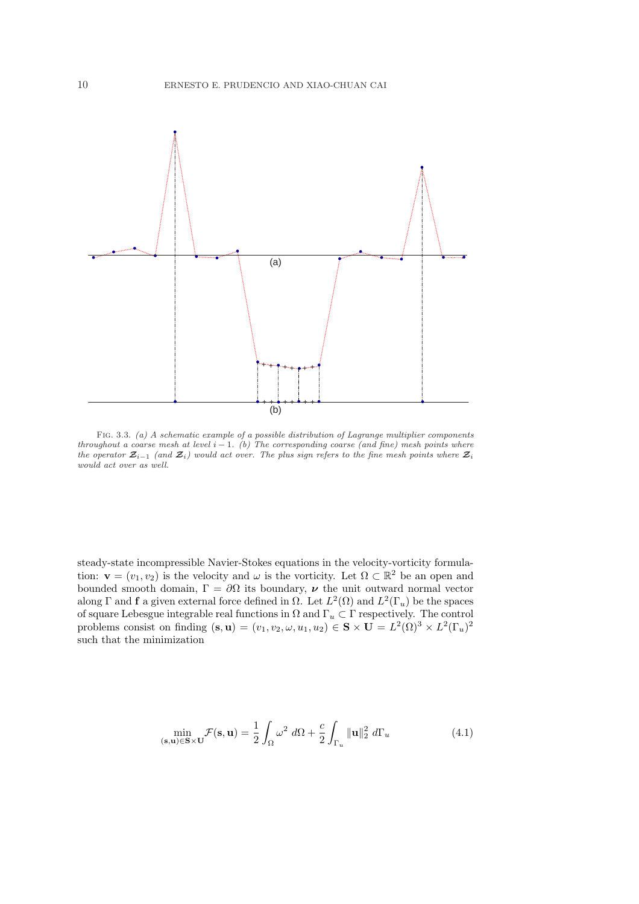

Fig. 3.3. (a) A schematic example of a possible distribution of Lagrange multiplier components throughout a coarse mesh at level  $i - 1$ . (b) The corresponding coarse (and fine) mesh points where the operator  $\mathcal{Z}_{i-1}$  (and  $\mathcal{Z}_i$ ) would act over. The plus sign refers to the fine mesh points where  $\mathcal{Z}_i$ would act over as well.

steady-state incompressible Navier-Stokes equations in the velocity-vorticity formulation:  $\mathbf{v} = (v_1, v_2)$  is the velocity and  $\omega$  is the vorticity. Let  $\Omega \subset \mathbb{R}^2$  be an open and bounded smooth domain,  $\Gamma = \partial \Omega$  its boundary,  $\nu$  the unit outward normal vector along  $\Gamma$  and **f** a given external force defined in  $\Omega$ . Let  $L^2(\Omega)$  and  $L^2(\Gamma_u)$  be the spaces of square Lebesgue integrable real functions in  $\Omega$  and  $\Gamma_u \subset \Gamma$  respectively. The control problems consist on finding  $(\mathbf{s}, \mathbf{u}) = (v_1, v_2, \omega, u_1, u_2) \in \mathbf{S} \times \mathbf{U} = L^2(\Omega)^3 \times L^2(\Gamma_u)^2$ such that the minimization

$$
\min_{(\mathbf{s}, \mathbf{u}) \in \mathbf{S} \times \mathbf{U}} \mathcal{F}(\mathbf{s}, \mathbf{u}) = \frac{1}{2} \int_{\Omega} \omega^2 \ d\Omega + \frac{c}{2} \int_{\Gamma_u} \|\mathbf{u}\|_2^2 \ d\Gamma_u \tag{4.1}
$$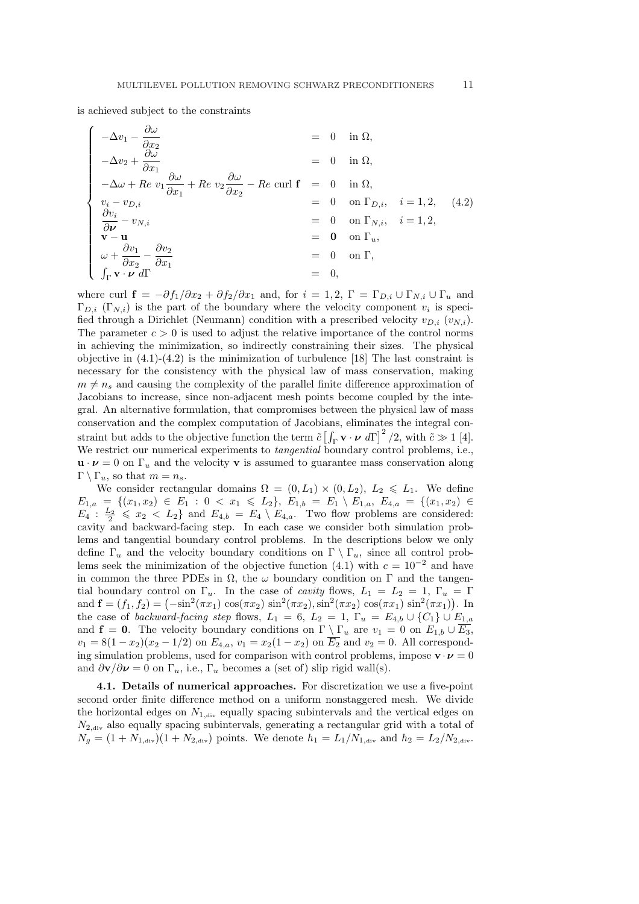is achieved subject to the constraints

$$
\begin{cases}\n-\Delta v_1 - \frac{\partial \omega}{\partial x_2} &= 0 \text{ in } \Omega, \\
-\Delta v_2 + \frac{\partial \omega}{\partial x_1} &= 0 \text{ in } \Omega, \\
-\Delta \omega + Re \ v_1 \frac{\partial \omega}{\partial x_1} + Re \ v_2 \frac{\partial \omega}{\partial x_2} - Re \ \text{curl } \mathbf{f} &= 0 \text{ in } \Omega, \\
v_i - v_{D,i} &= 0 \text{ on } \Gamma_{D,i}, \quad i = 1, 2, \\
\frac{\partial v_i}{\partial \nu} - v_{N,i} &= 0 \text{ on } \Gamma_{N,i}, \quad i = 1, 2, \\
\mathbf{v} - \mathbf{u} &= 0 \text{ on } \Gamma_u, \\
\omega + \frac{\partial v_1}{\partial x_2} - \frac{\partial v_2}{\partial x_1} &= 0 \text{ on } \Gamma, \\
\int_{\Gamma} \mathbf{v} \cdot \nu \ d\Gamma &= 0,\n\end{cases}
$$

where curl  $\mathbf{f} = -\partial f_1/\partial x_2 + \partial f_2/\partial x_1$  and, for  $i = 1, 2, \Gamma = \Gamma_{D,i} \cup \Gamma_{N,i} \cup \Gamma_u$  and  $\Gamma_{D,i}(\Gamma_{N,i})$  is the part of the boundary where the velocity component  $v_i$  is specified through a Dirichlet (Neumann) condition with a prescribed velocity  $v_{D,i}$  ( $v_{N,i}$ ). The parameter  $c > 0$  is used to adjust the relative importance of the control norms in achieving the minimization, so indirectly constraining their sizes. The physical objective in  $(4.1)-(4.2)$  is the minimization of turbulence [18] The last constraint is necessary for the consistency with the physical law of mass conservation, making  $m \neq n_s$  and causing the complexity of the parallel finite difference approximation of Jacobians to increase, since non-adjacent mesh points become coupled by the integral. An alternative formulation, that compromises between the physical law of mass conservation and the complex computation of Jacobians, eliminates the integral constraint but adds to the objective function the term  $\tilde{c}$ aı.<br>ت is, emimates the integral con-<br> $\left[\frac{\Gamma}{\Gamma} \mathbf{v} \cdot \boldsymbol{\nu} \ d\Gamma\right]^2/2$ , with  $\tilde{c} \gg 1$  [4]. We restrict our numerical experiments to *tangential* boundary control problems, i.e.,  $\mathbf{u} \cdot \mathbf{\nu} = 0$  on  $\Gamma_u$  and the velocity **v** is assumed to guarantee mass conservation along  $\Gamma \setminus \Gamma_u$ , so that  $m = n_s$ .

We consider rectangular domains  $\Omega = (0, L_1) \times (0, L_2)$ ,  $L_2 \le L_1$ . We define  $E_{1,a} = \{(x_1,x_2) \in E_1 : 0 < x_1 \leqslant L_2\}, E_{1,b} = E_1 \setminus E_{1,a}, E_{4,a} = \{(x_1,x_2) \in E_1\}$  $E_4: \frac{L_2}{2} \leqslant x_2 < L_2$  and  $E_{4,b} = E_4 \setminus E_{4,a}$ . Two flow problems are considered: cavity and backward-facing step. In each case we consider both simulation problems and tangential boundary control problems. In the descriptions below we only define  $\Gamma_u$  and the velocity boundary conditions on  $\Gamma \setminus \Gamma_u$ , since all control problems seek the minimization of the objective function (4.1) with  $c = 10^{-2}$  and have in common the three PDEs in  $\Omega$ , the  $\omega$  boundary condition on  $\Gamma$  and the tangential boundary control on  $\Gamma_u$ . In the case of *cavity* flows,  $L_1 = L_2 = 1$ ,  $\Gamma_u = \Gamma$ that boundary control on  $\Gamma_u$ . In the case of *cavity* hows,  $L_1 = L_2 = 1$ ,  $\Gamma_u = 1$ <br>and  $\mathbf{f} = (f_1, f_2) = (-\sin^2(\pi x_1) \cos(\pi x_2) \sin^2(\pi x_2), \sin^2(\pi x_2) \cos(\pi x_1) \sin^2(\pi x_1))$ . In the case of backward-facing step flows,  $L_1 = 6$ ,  $L_2 = 1$ ,  $\Gamma_u = E_{4,b} \cup \{C_1\} \cup E_{1,a}$ and  $f = 0$ . The velocity boundary conditions on  $\Gamma \setminus \Gamma_u$  are  $v_1 = 0$  on  $E_{1,b} \cup \overline{E_3}$ ,  $v_1 = 8(1-x_2)(x_2-1/2)$  on  $E_{4,a}$ ,  $v_1 = x_2(1-x_2)$  on  $\overline{E_2}$  and  $v_2 = 0$ . All corresponding simulation problems, used for comparison with control problems, impose  $\mathbf{v} \cdot \mathbf{v} = 0$ and  $\partial \mathbf{v}/\partial \boldsymbol{\nu} = 0$  on  $\Gamma_u$ , i.e.,  $\Gamma_u$  becomes a (set of) slip rigid wall(s).

4.1. Details of numerical approaches. For discretization we use a five-point second order finite difference method on a uniform nonstaggered mesh. We divide the horizontal edges on  $N_{1,div}$  equally spacing subintervals and the vertical edges on  $N_{2,\text{div}}$  also equally spacing subintervals, generating a rectangular grid with a total of  $N_g = (1 + N_{1,\text{div}})(1 + N_{2,\text{div}})$  points. We denote  $h_1 = L_1/N_{1,\text{div}}$  and  $h_2 = L_2/N_{2,\text{div}}$ .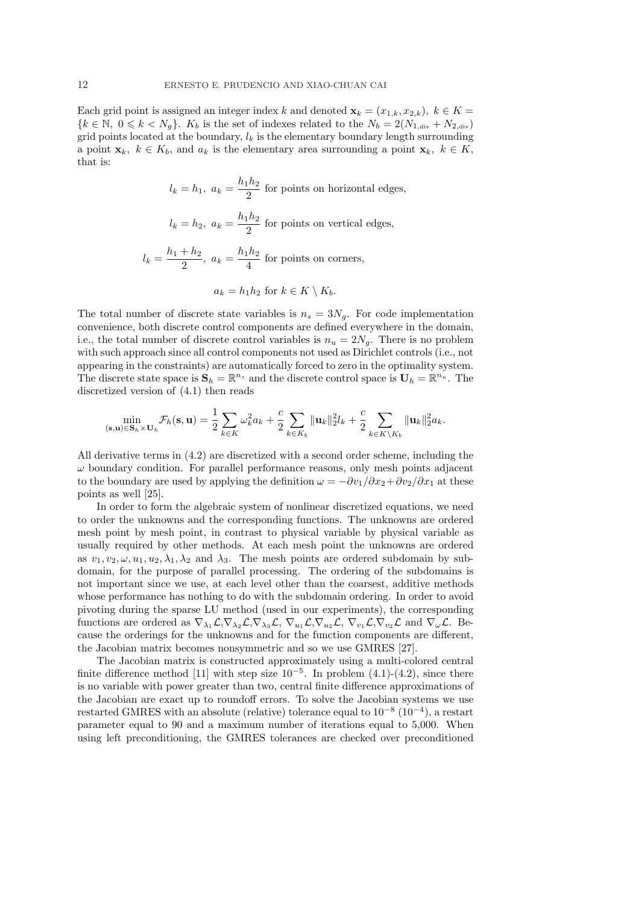Each grid point is assigned an integer index k and denoted  $\mathbf{x}_k = (x_{1,k}, x_{2,k}), k \in K =$  ${k \in \mathbb{N}, 0 \leq k < N_q}.$  K<sub>b</sub> is the set of indexes related to the  $N_b = 2(N_{1,\text{div}} + N_{2,\text{div}})$ grid points located at the boundary,  $l_k$  is the elementary boundary length surrounding a point  $\mathbf{x}_k, k \in K_b$ , and  $a_k$  is the elementary area surrounding a point  $\mathbf{x}_k, k \in K$ , that is:

$$
l_k = h_1, \ a_k = \frac{h_1 h_2}{2} \text{ for points on horizontal edges,}
$$
  

$$
l_k = h_2, \ a_k = \frac{h_1 h_2}{2} \text{ for points on vertical edges,}
$$
  

$$
l_k = \frac{h_1 + h_2}{2}, \ a_k = \frac{h_1 h_2}{4} \text{ for points on corners,}
$$
  

$$
a_k = h_1 h_2 \text{ for } k \in K \setminus K_b.
$$

The total number of discrete state variables is  $n_s = 3N_q$ . For code implementation convenience, both discrete control components are defined everywhere in the domain, i.e., the total number of discrete control variables is  $n_u = 2N_a$ . There is no problem with such approach since all control components not used as Dirichlet controls (i.e., not appearing in the constraints) are automatically forced to zero in the optimality system. The discrete state space is  $\mathbf{S}_h = \mathbb{R}^{n_s}$  and the discrete control space is  $\mathbf{U}_h = \mathbb{R}^{n_u}$ . The discretized version of (4.1) then reads

$$
\min_{(\mathbf{s},\mathbf{u}) \in \mathbf{S}_h \times \mathbf{U}_h} \mathcal{F}_h(\mathbf{s},\mathbf{u}) = \frac{1}{2} \sum_{k \in K} \omega_k^2 a_k + \frac{c}{2} \sum_{k \in K_b} \|\mathbf{u}_k\|_2^2 l_k + \frac{c}{2} \sum_{k \in K \setminus K_b} \|\mathbf{u}_k\|_2^2 a_k.
$$

All derivative terms in (4.2) are discretized with a second order scheme, including the  $\omega$  boundary condition. For parallel performance reasons, only mesh points adjacent to the boundary are used by applying the definition  $\omega = -\frac{\partial v_1}{\partial x_2} + \frac{\partial v_2}{\partial x_1}$  at these points as well [25].

In order to form the algebraic system of nonlinear discretized equations, we need to order the unknowns and the corresponding functions. The unknowns are ordered mesh point by mesh point, in contrast to physical variable by physical variable as usually required by other methods. At each mesh point the unknowns are ordered as  $v_1, v_2, \omega, u_1, u_2, \lambda_1, \lambda_2$  and  $\lambda_3$ . The mesh points are ordered subdomain by subdomain, for the purpose of parallel processing. The ordering of the subdomains is not important since we use, at each level other than the coarsest, additive methods whose performance has nothing to do with the subdomain ordering. In order to avoid pivoting during the sparse LU method (used in our experiments), the corresponding functions are ordered as  $\nabla_{\lambda_1} \mathcal{L}, \nabla_{\lambda_2} \mathcal{L}, \nabla_{\lambda_3} \mathcal{L}, \nabla_{u_1} \mathcal{L}, \nabla_{u_2} \mathcal{L}, \nabla_{v_1} \mathcal{L}, \nabla_{v_2} \mathcal{L}$  and  $\nabla_{\omega} \mathcal{L}$ . Because the orderings for the unknowns and for the function components are different, the Jacobian matrix becomes nonsymmetric and so we use GMRES [27].

The Jacobian matrix is constructed approximately using a multi-colored central finite difference method [11] with step size  $10^{-5}$ . In problem  $(4.1)-(4.2)$ , since there is no variable with power greater than two, central finite difference approximations of the Jacobian are exact up to roundoff errors. To solve the Jacobian systems we use restarted GMRES with an absolute (relative) tolerance equal to 10<sup>−</sup><sup>8</sup> (10<sup>−</sup><sup>4</sup> ), a restart parameter equal to 90 and a maximum number of iterations equal to 5,000. When using left preconditioning, the GMRES tolerances are checked over preconditioned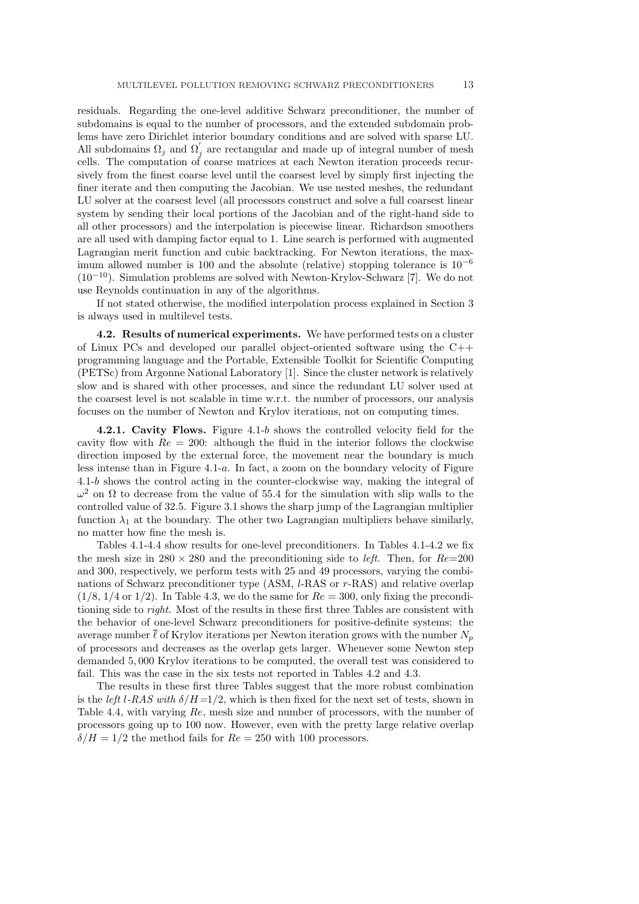residuals. Regarding the one-level additive Schwarz preconditioner, the number of subdomains is equal to the number of processors, and the extended subdomain problems have zero Dirichlet interior boundary conditions and are solved with sparse LU. All subdomains  $\Omega_j$  and  $\Omega'_j$  are rectangular and made up of integral number of mesh cells. The computation of coarse matrices at each Newton iteration proceeds recursively from the finest coarse level until the coarsest level by simply first injecting the finer iterate and then computing the Jacobian. We use nested meshes, the redundant LU solver at the coarsest level (all processors construct and solve a full coarsest linear system by sending their local portions of the Jacobian and of the right-hand side to all other processors) and the interpolation is piecewise linear. Richardson smoothers are all used with damping factor equal to 1. Line search is performed with augmented Lagrangian merit function and cubic backtracking. For Newton iterations, the maximum allowed number is 100 and the absolute (relative) stopping tolerance is  $10^{-6}$  $(10^{-10})$ . Simulation problems are solved with Newton-Krylov-Schwarz [7]. We do not use Reynolds continuation in any of the algorithms.

If not stated otherwise, the modified interpolation process explained in Section 3 is always used in multilevel tests.

4.2. Results of numerical experiments. We have performed tests on a cluster of Linux PCs and developed our parallel object-oriented software using the C++ programming language and the Portable, Extensible Toolkit for Scientific Computing (PETSc) from Argonne National Laboratory [1]. Since the cluster network is relatively slow and is shared with other processes, and since the redundant LU solver used at the coarsest level is not scalable in time w.r.t. the number of processors, our analysis focuses on the number of Newton and Krylov iterations, not on computing times.

4.2.1. Cavity Flows. Figure 4.1-b shows the controlled velocity field for the cavity flow with  $Re = 200$ : although the fluid in the interior follows the clockwise direction imposed by the external force, the movement near the boundary is much less intense than in Figure 4.1-a. In fact, a zoom on the boundary velocity of Figure 4.1-b shows the control acting in the counter-clockwise way, making the integral of  $ω<sup>2</sup>$  on Ω to decrease from the value of 55.4 for the simulation with slip walls to the controlled value of 32.5. Figure 3.1 shows the sharp jump of the Lagrangian multiplier function  $\lambda_1$  at the boundary. The other two Lagrangian multipliers behave similarly, no matter how fine the mesh is.

Tables 4.1-4.4 show results for one-level preconditioners. In Tables 4.1-4.2 we fix the mesh size in  $280 \times 280$  and the preconditioning side to *left*. Then, for  $Re=200$ and 300, respectively, we perform tests with 25 and 49 processors, varying the combinations of Schwarz preconditioner type (ASM, l-RAS or r-RAS) and relative overlap  $(1/8, 1/4 \text{ or } 1/2)$ . In Table 4.3, we do the same for  $Re = 300$ , only fixing the preconditioning side to right. Most of the results in these first three Tables are consistent with the behavior of one-level Schwarz preconditioners for positive-definite systems: the average number  $\ell$  of Krylov iterations per Newton iteration grows with the number  $N_p$ of processors and decreases as the overlap gets larger. Whenever some Newton step demanded 5, 000 Krylov iterations to be computed, the overall test was considered to fail. This was the case in the six tests not reported in Tables 4.2 and 4.3.

The results in these first three Tables suggest that the more robust combination is the left l-RAS with  $\delta/H=1/2$ , which is then fixed for the next set of tests, shown in Table 4.4, with varying Re, mesh size and number of processors, with the number of processors going up to 100 now. However, even with the pretty large relative overlap  $\delta/H = 1/2$  the method fails for  $Re = 250$  with 100 processors.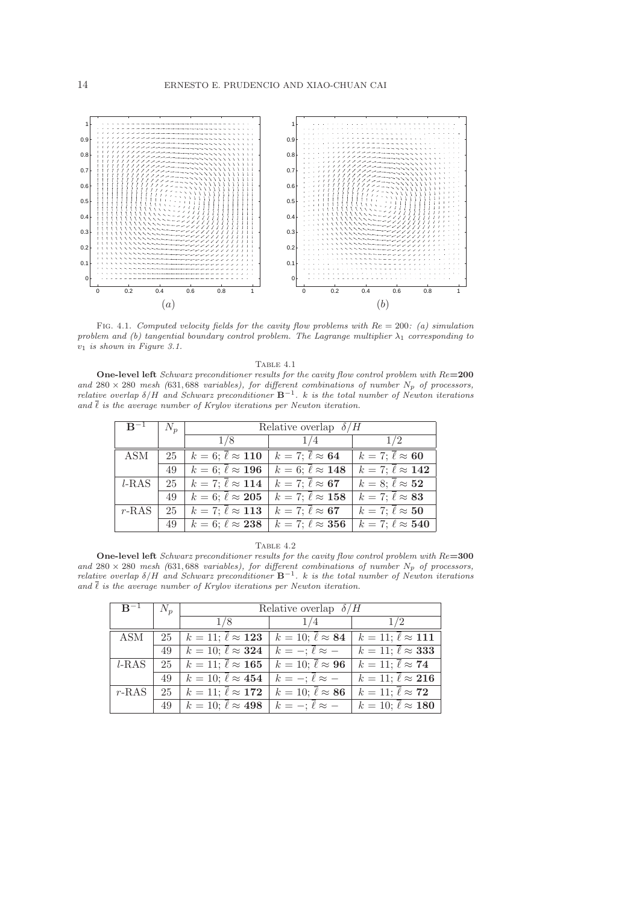

FIG. 4.1. Computed velocity fields for the cavity flow problems with  $Re = 200$ : (a) simulation problem and (b) tangential boundary control problem. The Lagrange multiplier  $\lambda_1$  corresponding to  $v_1$  is shown in Figure 3.1.

One-level left  $Schwarz$  preconditioner results for the cavity flow control problem with  $Re=200$ and 280  $\times$  280 mesh (631,688 variables), for different combinations of number N<sub>p</sub> of processors, relative overlap  $\delta/H$  and Schwarz preconditioner  $\mathbf{B}^{-1}$ . k is the total number of Newton iterations and  $\overline{\ell}$  is the average number of Krylov iterations per Newton iteration.

| $\overline{\mathbf{B}^{-1}}$   $N_p$ |    | Relative overlap $\delta/H$   |                                   |                                    |  |
|--------------------------------------|----|-------------------------------|-----------------------------------|------------------------------------|--|
|                                      |    | 1/8                           | $\overline{1/4}$                  | 1/2                                |  |
| ASM                                  | 25 | $k=6; \ell \approx 110$       | $k=7; \overline{\ell} \approx 64$ | $k=7; \ell \approx 60$             |  |
|                                      | 49 | $k=6; \ell \approx 196$       | $k=6; \ell \approx 148$           | $k=7; \overline{\ell} \approx 142$ |  |
| $l$ -RAS                             | 25 | $k=7; \bar{\ell} \approx 114$ | $k=7; \overline{\ell} \approx 67$ | $k=8; \bar{\ell} \approx 52$       |  |
|                                      | 49 | $k=6; \ell \approx 205$       | $k=7; \ell \approx 158$           | $k=7; \overline{\ell} \approx 83$  |  |
| $r$ -RAS                             | 25 | $k=7; \ell \approx 113$       | $k=7$ ; $\ell \approx 67$         | $k=7; \overline{\ell} \approx 50$  |  |
|                                      | 49 | $k=6; \ell \approx 238$       | $k=7; \ell \approx 356$           | $k=7; \ell \approx 540$            |  |

# TABLE  $4.2$

One-level left Schwarz preconditioner results for the cavity flow control problem with  $Re = 300$ and 280  $\times$  280 mesh (631, 688 variables), for different combinations of number N<sub>p</sub> of processors, relative overlap  $\delta/H$  and Schwarz preconditioner  $\mathbf{B}^{-1}$ . k is the total number of Newton iterations and  $\overline{\ell}$  is the average number of Krylov iterations per Newton iteration.

| $\mathbf{B}^{-1}$ | $\mid N_n \mid$ | Relative overlap $\delta/H$                      |                                    |                                     |  |
|-------------------|-----------------|--------------------------------------------------|------------------------------------|-------------------------------------|--|
|                   |                 | 1/8                                              | 1/4                                | 1/2                                 |  |
| ASM               | 25              | $k=11$ ; $\ell \approx 123$                      | $k = 10$ ; $\ell \approx 84$       | $k=11;\bar{\ell}\approx 111$        |  |
|                   | 49              | $k=10; \ell \approx 324$                         | $k = -; \ell \approx -$            | $k=11; \ell \approx 333$            |  |
| $l$ -RAS          | 25              | $k=11; \overline{\ell} \approx 165$              | $k=10; \overline{\ell} \approx 96$ | $k=11; \overline{\ell} \approx 74$  |  |
|                   | 49              | $k=10; \ell \approx 454$                         | $k=-: \ell \approx -$              | $k=11; \ell \approx 216$            |  |
| $r$ -RAS          | 25              | $k = 11$ ; $\ell \approx 172$                    | $k=10; \ell \approx 86$            | $k=11; \ell \approx 72$             |  |
|                   | 49              | $k = 10; \overline{\ell} \approx \overline{498}$ | $k = -; \ell \approx -$            | $k=10; \overline{\ell} \approx 180$ |  |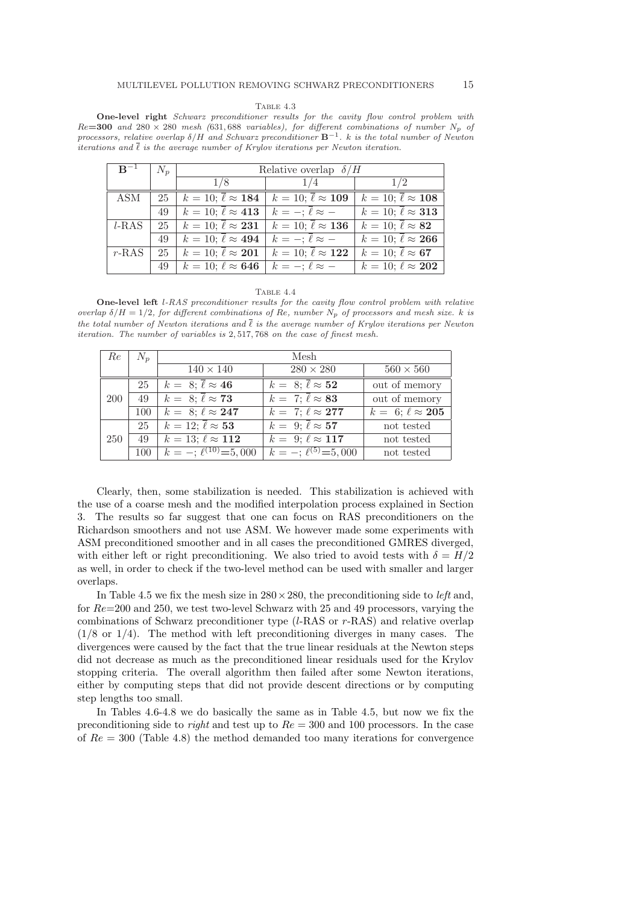One-level right Schwarz preconditioner results for the cavity flow control problem with  $Re=300$  and  $280 \times 280$  mesh (631, 688 variables), for different combinations of number N<sub>p</sub> of processors, relative overlap  $\delta/H$  and Schwarz preconditioner  $B^{-1}$ . k is the total number of Newton iterations and  $\overline{\ell}$  is the average number of Krylov iterations per Newton iteration.

| $B^{-1}$ | $ N_p $ | Relative overlap $\delta/H$         |                                     |                                       |  |
|----------|---------|-------------------------------------|-------------------------------------|---------------------------------------|--|
|          |         | 1/8                                 | 1/4                                 | 1/2                                   |  |
| ASM      | 25      | $k=10; \overline{\ell} \approx 184$ | $k=10; \overline{\ell} \approx 109$ | $k = 10; \overline{\ell} \approx 108$ |  |
|          | 49      | $k = 10; \ell \approx 413$          | $k=-;\ell\approx-$                  | $k=10; \ell \approx 313$              |  |
| $l$ -RAS | 25      | $k=10; \bar{\ell} \approx 231$      | $k=10; \overline{\ell} \approx 136$ | $k=10; \bar{\ell} \approx 82$         |  |
|          | 49      | $k = 10$ ; $\ell \approx 494$       | $k=-;\ell\approx-$                  | $k = 10$ ; $\ell \approx 266$         |  |
| $r$ -RAS | 25      | $k=10; \ell \approx 201$            | $k=10; \bar{\ell} \approx 122$      | $k=10; \overline{\ell} \approx 67$    |  |
|          |         | 49   $k = 10; \ \ell \approx 646$   | $k = -; \ell \approx -$             | $k=10; \overline{\ell} \approx 202$   |  |

#### TABLE  $4.4$

One-level left *l-RAS* preconditioner results for the cavity flow control problem with relative overlap  $\delta/H = 1/2$ , for different combinations of Re, number  $N_p$  of processors and mesh size. k is the total number of Newton iterations and  $\bar{\ell}$  is the average number of Krylov iterations per Newton iteration. The number of variables is 2, 517, 768 on the case of finest mesh.

| Re  | $N_p$ | Mesh                                 |                                      |                                      |  |  |
|-----|-------|--------------------------------------|--------------------------------------|--------------------------------------|--|--|
|     |       | $140 \times 140$                     | $280 \times 280$                     | $560 \times 560$                     |  |  |
|     | 25    | $k = 8$ ; $\ell \approx 46$          | $k = 8; \overline{\ell} \approx 52$  | out of memory                        |  |  |
| 200 | 49    | $k = 8; \overline{\ell} \approx 73$  | $k = 7; \overline{\ell} \approx 83$  | out of memory                        |  |  |
|     | 100   | $k = 8; \overline{\ell} \approx 247$ | $k = 7; \overline{\ell} \approx 277$ | $k = 6; \overline{\ell} \approx 205$ |  |  |
|     | 25    | $k = 12; \overline{\ell} \approx 53$ | $k = 9; \overline{\ell} \approx 57$  | not tested                           |  |  |
| 250 | 49    | $k=13;\, \overline{\ell}\approx 112$ | $k = 9; \overline{\ell} \approx 117$ | not tested                           |  |  |
|     | 100   | $k = -; \ell^{(10)} = 5,000$         | $k = -; \ell^{(5)} = 5,000$          | not tested                           |  |  |

Clearly, then, some stabilization is needed. This stabilization is achieved with the use of a coarse mesh and the modified interpolation process explained in Section 3. The results so far suggest that one can focus on RAS preconditioners on the Richardson smoothers and not use ASM. We however made some experiments with ASM preconditioned smoother and in all cases the preconditioned GMRES diverged, with either left or right preconditioning. We also tried to avoid tests with  $\delta = H/2$ as well, in order to check if the two-level method can be used with smaller and larger overlaps.

In Table 4.5 we fix the mesh size in  $280 \times 280$ , the preconditioning side to left and, for Re=200 and 250, we test two-level Schwarz with 25 and 49 processors, varying the combinations of Schwarz preconditioner type  $(l-RAS)$  or  $r-RAS$ ) and relative overlap (1/8 or 1/4). The method with left preconditioning diverges in many cases. The divergences were caused by the fact that the true linear residuals at the Newton steps did not decrease as much as the preconditioned linear residuals used for the Krylov stopping criteria. The overall algorithm then failed after some Newton iterations, either by computing steps that did not provide descent directions or by computing step lengths too small.

In Tables 4.6-4.8 we do basically the same as in Table 4.5, but now we fix the preconditioning side to *right* and test up to  $Re = 300$  and 100 processors. In the case of  $Re = 300$  (Table 4.8) the method demanded too many iterations for convergence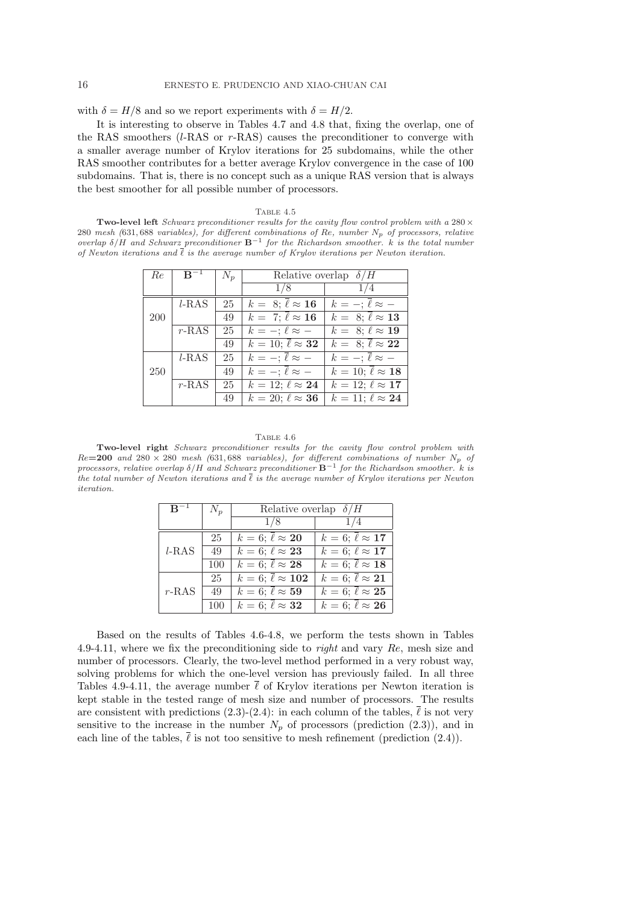with  $\delta = H/8$  and so we report experiments with  $\delta = H/2$ .

It is interesting to observe in Tables 4.7 and 4.8 that, fixing the overlap, one of the RAS smoothers  $(l-RAS)$  causes the preconditioner to converge with a smaller average number of Krylov iterations for 25 subdomains, while the other RAS smoother contributes for a better average Krylov convergence in the case of 100 subdomains. That is, there is no concept such as a unique RAS version that is always the best smoother for all possible number of processors.

#### Table 4.5

**Two-level left** Schwarz preconditioner results for the cavity flow control problem with a  $280 \times$ 280 mesh (631, 688 variables), for different combinations of Re, number  $N_p$  of processors, relative overlap  $\delta/H$  and Schwarz preconditioner  $\mathbf{B}^{-1}$  for the Richardson smoother. k is the total number of Newton iterations and  $\overline{\ell}$  is the average number of Krylov iterations per Newton iteration.

| Re         | $B^{-1}$      | $N_p$ |                                    | Relative overlap $\delta/H$         |
|------------|---------------|-------|------------------------------------|-------------------------------------|
|            |               |       | 1/8                                | 1/4                                 |
|            | l-RAS         | 25    | $k = 8; \ell \approx 16$           | $k = -; \ell \approx -$             |
| <b>200</b> |               | 49    | $k = 7; \ell \approx 16$           | $k = 8; \overline{\ell} \approx 13$ |
|            | $r$ -RAS      | 25    | $k = -; \ell \approx -$            | $k = 8; \overline{\ell} \approx 19$ |
|            |               | 49    | $k=10; \ell \approx 32$            | $k = 8$ ; $\ell \approx 22$         |
|            | <i>l</i> -RAS | 25    | $k=-;\bar{\ell}\approx-$           | $k=-; \overline{\ell} \approx -$    |
| 250        |               | 49    | $k = -: \ell \approx -$            | $k = 10; \, \ell \approx 18$        |
|            | $r$ -RAS      | 25    | $k=12; \overline{\ell} \approx 24$ | $k=12; \ell \approx 17$             |
|            |               | 49    | $k=20; \ell \approx 36$            | $k=11; \overline{\ell} \approx 24$  |

## TABLE  $4.6$

Two-level right Schwarz preconditioner results for the cavity flow control problem with  $Re=200$  and  $280 \times 280$  mesh (631,688 variables), for different combinations of number  $N_p$  of processors, relative overlap  $\delta/H$  and Schwarz preconditioner  $\mathbf{B}^{-1}$  for the Richardson smoother. k is the total number of Newton iterations and  $\overline{\ell}$  is the average number of Krylov iterations per Newton iteration.

| $B^{-1}$ | $N_n$ | Relative overlap $\delta/H$        |                                   |
|----------|-------|------------------------------------|-----------------------------------|
|          |       | 1/8                                | 1/4                               |
|          | 25    | $k=6; \overline{\ell} \approx 20$  | $k=6; \overline{\ell} \approx 17$ |
| $l$ -RAS | 49    | $k=6; \ell \approx 23$             | $k=6; \overline{\ell} \approx 17$ |
|          | 100   | $k=6; \ell \approx 28$             | $k=6; \ell \approx 18$            |
|          | 25    | $k=6; \overline{\ell} \approx 102$ | $k=6; \overline{\ell} \approx 21$ |
| $r$ -RAS | 49    | $k=6; \ell \approx 59$             | $k=6; \overline{\ell} \approx 25$ |
|          | 100   | $k=6; \ell \approx 32$             | $k=6; \ell \approx 26$            |

Based on the results of Tables 4.6-4.8, we perform the tests shown in Tables 4.9-4.11, where we fix the preconditioning side to right and vary Re, mesh size and number of processors. Clearly, the two-level method performed in a very robust way, solving problems for which the one-level version has previously failed. In all three Tables 4.9-4.11, the average number  $\bar{\ell}$  of Krylov iterations per Newton iteration is kept stable in the tested range of mesh size and number of processors. The results are consistent with predictions (2.3)-(2.4): in each column of the tables,  $\bar{\ell}$  is not very sensitive to the increase in the number  $N_p$  of processors (prediction (2.3)), and in each line of the tables,  $\ell$  is not too sensitive to mesh refinement (prediction (2.4)).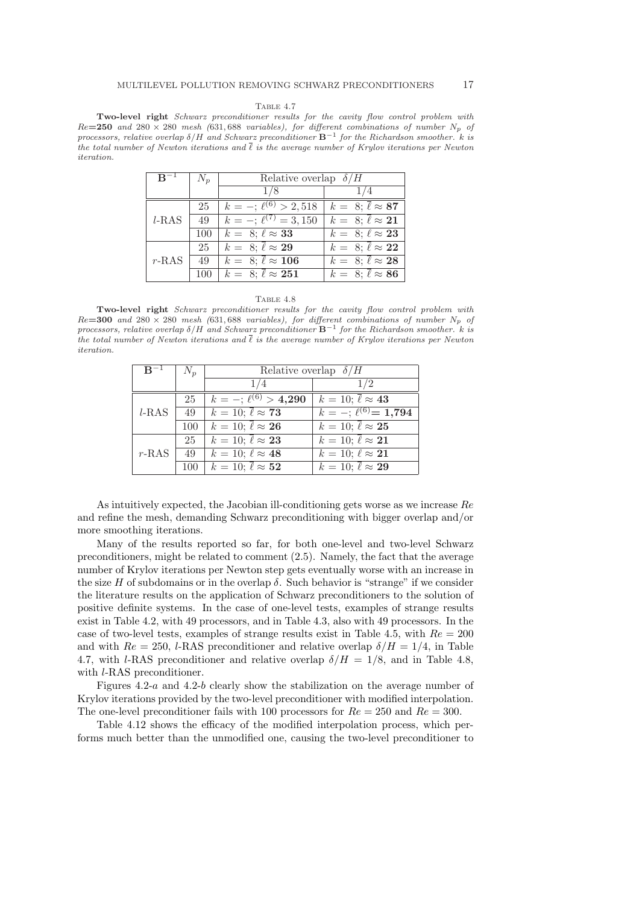Two-level right Schwarz preconditioner results for the cavity flow control problem with  $Re=250$  and 280 × 280 mesh (631,688 variables), for different combinations of number N<sub>p</sub> of processors, relative overlap  $\delta/H$  and Schwarz preconditioner  $\mathbf{B}^{-1}$  for the Richardson smoother. k is the total number of Newton iterations and  $\overline{\ell}$  is the average number of Krylov iterations per Newton iteration.

| $B^{-1}$ | $N_p$ | Relative overlap $\delta/H$          |                                     |  |
|----------|-------|--------------------------------------|-------------------------------------|--|
|          |       | 1/8                                  | 1/4                                 |  |
|          | 25    | $k = -; \ell^{(6)} > 2,518$          | $k = 8; \ell \approx 87$            |  |
| $l$ -RAS | 49    | $k = -; \ell^{(7)} = 3,150$          | $k = 8; \ell \approx 21$            |  |
|          | 100   | $k = 8; \overline{\ell} \approx 33$  | $k = 8; \overline{\ell} \approx 23$ |  |
|          | 25    | $k = 8; \overline{\ell} \approx 29$  | $k = 8; \overline{\ell} \approx 22$ |  |
| $r$ -RAS | 49    | $k = 8; \ell \approx 106$            | $k = 8; \ell \approx 28$            |  |
|          | 100   | $k = 8; \overline{\ell} \approx 251$ | $k = 8; \overline{\ell} \approx 86$ |  |

## TABLE  $4.8$

Two-level right Schwarz preconditioner results for the cavity flow control problem with Re=300 and 280  $\times$  280 mesh (631, 688 variables), for different combinations of number N<sub>p</sub> of processors, relative overlap  $\delta/H$  and Schwarz preconditioner  $\mathbf{B}^{-1}$  for the Richardson smoother. k is the total number of Newton iterations and  $\overline{\ell}$  is the average number of Krylov iterations per Newton iteration.

| $R^{-1}$ | $N_p$ | Relative overlap $\delta/H$        |                                    |  |  |
|----------|-------|------------------------------------|------------------------------------|--|--|
|          |       | 1/4                                | 1/2                                |  |  |
|          | 25    | $k = -; \ell^{(6)} > 4,290$        | $k = 10$ ; $\ell \approx 43$       |  |  |
| $l$ -RAS | 49    | $k = 10$ ; $\ell \approx 73$       | $k = -; \ell^{(6)} = 1,794$        |  |  |
|          | 100   | $k=10; \overline{\ell} \approx 26$ | $k=10; \overline{\ell} \approx 25$ |  |  |
|          | 25    | $k=10; \overline{\ell} \approx 23$ | $k=10; \overline{\ell} \approx 21$ |  |  |
| $r$ -RAS | 49    | $k = 10; \ell \approx 48$          | $k=10; \ell \approx 21$            |  |  |
|          | 100   | $k=10; \overline{\ell} \approx 52$ | $k=10; \overline{\ell} \approx 29$ |  |  |

As intuitively expected, the Jacobian ill-conditioning gets worse as we increase Re and refine the mesh, demanding Schwarz preconditioning with bigger overlap and/or more smoothing iterations.

Many of the results reported so far, for both one-level and two-level Schwarz preconditioners, might be related to comment (2.5). Namely, the fact that the average number of Krylov iterations per Newton step gets eventually worse with an increase in the size H of subdomains or in the overlap  $\delta$ . Such behavior is "strange" if we consider the literature results on the application of Schwarz preconditioners to the solution of positive definite systems. In the case of one-level tests, examples of strange results exist in Table 4.2, with 49 processors, and in Table 4.3, also with 49 processors. In the case of two-level tests, examples of strange results exist in Table 4.5, with  $Re = 200$ and with  $Re = 250$ , l-RAS preconditioner and relative overlap  $\delta/H = 1/4$ , in Table 4.7, with l-RAS preconditioner and relative overlap  $\delta/H = 1/8$ , and in Table 4.8, with *l*-RAS preconditioner.

Figures 4.2-a and 4.2-b clearly show the stabilization on the average number of Krylov iterations provided by the two-level preconditioner with modified interpolation. The one-level preconditioner fails with 100 processors for  $Re = 250$  and  $Re = 300$ .

Table 4.12 shows the efficacy of the modified interpolation process, which performs much better than the unmodified one, causing the two-level preconditioner to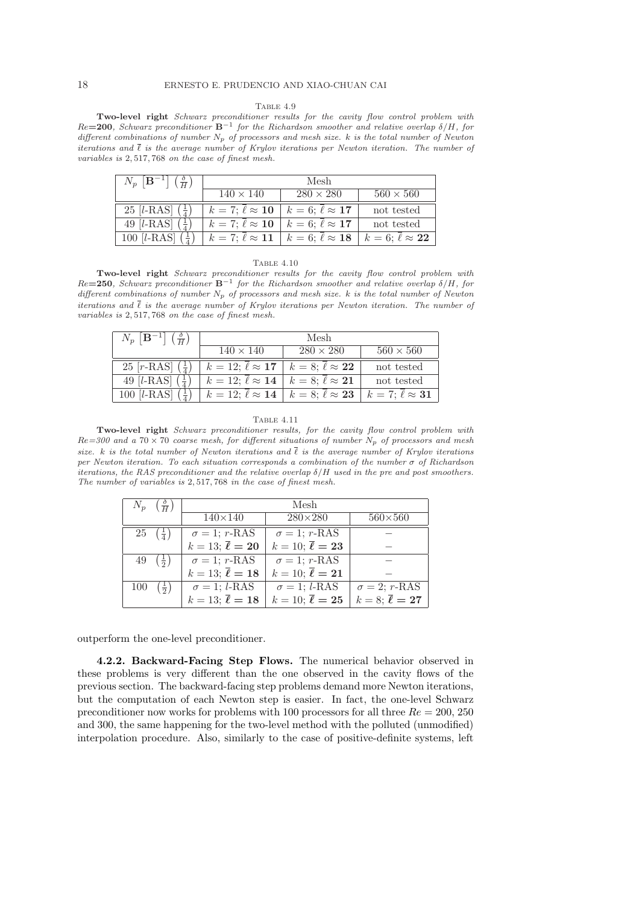Two-level right Schwarz preconditioner results for the cavity flow control problem with  $Re=200$ , Schwarz preconditioner  $B^{-1}$  for the Richardson smoother and relative overlap  $\delta/H$ , for different combinations of number  $N_p$  of processors and mesh size. k is the total number of Newton iterations and  $\bar{\ell}$  is the average number of Krylov iterations per Newton iteration. The number of variables is 2, 517, 768 on the case of finest mesh.

| $N_p  \mathbf{B}^{-1}  \left(\frac{\delta}{H}\right)$ | Mesh                                             |                        |                        |  |  |
|-------------------------------------------------------|--------------------------------------------------|------------------------|------------------------|--|--|
|                                                       | $140 \times 140$                                 | $280 \times 280$       | $560 \times 560$       |  |  |
| 25 [ <i>l</i> -RAS] $(\frac{1}{4})$                   | $k=7; \overline{\ell} \approx 10$                | $k=6; \ell \approx 17$ | not tested             |  |  |
| 49 $[l-RAS]$<br>$(\frac{1}{4})$                       | $k=7; \ell \approx 10 \mid k=6; \ell \approx 17$ |                        | not tested             |  |  |
| 100 [l-RAS] $(\frac{1}{4})$                           | $k=7; \ell \approx 11 \mid k=6; \ell \approx 18$ |                        | $k=6; \ell \approx 22$ |  |  |

## Table 4.10

Two-level right Schwarz preconditioner results for the cavity flow control problem with  $Re=250$ , Schwarz preconditioner  $B^{-1}$  for the Richardson smoother and relative overlap  $\delta/H$ , for different combinations of number  $N_p$  of processors and mesh size. k is the total number of Newton iterations and  $\overline{\ell}$  is the average number of Krylov iterations per Newton iteration. The number of variables is 2, 517, 768 on the case of finest mesh.

| $N_p  \mathbf{B}^{-1}  \left(\frac{\delta}{H}\right)$ | Mesh                               |                        |                        |  |  |
|-------------------------------------------------------|------------------------------------|------------------------|------------------------|--|--|
|                                                       | $140 \times 140$                   | $280 \times 280$       | $560 \times 560$       |  |  |
| 25 [r-RAS] $(\frac{1}{4})$                            | $k=12; \ell \approx 17$            | $k=8; \ell \approx 22$ | not tested             |  |  |
| 49 $[l-RAS]$<br>$\frac{1}{4}$                         | $k=12; \overline{\ell} \approx 14$ | $k=8; \ell \approx 21$ | not tested             |  |  |
| $100$ [ $l$ -RAS]                                     | $k = 12$ ; $\ell \approx 14$       | $k=8; \ell \approx 23$ | $k=7; \ell \approx 31$ |  |  |

## TABLE 4.11

Two-level right Schwarz preconditioner results, for the cavity flow control problem with  $Re=300$  and a  $70 \times 70$  coarse mesh, for different situations of number  $N_p$  of processors and mesh size. k is the total number of Newton iterations and  $\overline{\ell}$  is the average number of Krylov iterations per Newton iteration. To each situation corresponds a combination of the number  $\sigma$  of Richardson iterations, the RAS preconditioner and the relative overlap  $\delta/H$  used in the pre and post smoothers. The number of variables is 2, 517, 768 in the case of finest mesh.

| $N_p \left(\frac{\delta}{H}\right)$ |                              | Mesh                       |                           |
|-------------------------------------|------------------------------|----------------------------|---------------------------|
|                                     | $140\times140$               | $280\times280$             | $560\times560$            |
| $25(\frac{1}{4})$                   | $\sigma = 1$ ; r-RAS         | $\sigma = 1$ ; r-RAS       |                           |
|                                     | $k=13; \overline{\ell}=20$   | $k=10; \overline{\ell}=23$ |                           |
| 49 $(\frac{1}{2})$                  | $\sigma = 1$ ; r-RAS         | $\sigma = 1$ ; r-RAS       |                           |
|                                     | $k=13; \overline{\ell}=18$   | $k=10; \overline{\ell}=21$ |                           |
| $100 \left( \frac{1}{2} \right)$    | $\sigma = 1$ ; <i>l</i> -RAS | $\sigma = 1$ ; l-RAS       | $\sigma = 2$ ; r-RAS      |
|                                     | $k=13; \overline{\ell}=18$   | $k=10; \overline{\ell}=25$ | $k=8; \overline{\ell}=27$ |

outperform the one-level preconditioner.

4.2.2. Backward-Facing Step Flows. The numerical behavior observed in these problems is very different than the one observed in the cavity flows of the previous section. The backward-facing step problems demand more Newton iterations, but the computation of each Newton step is easier. In fact, the one-level Schwarz preconditioner now works for problems with 100 processors for all three  $Re = 200, 250$ and 300, the same happening for the two-level method with the polluted (unmodified) interpolation procedure. Also, similarly to the case of positive-definite systems, left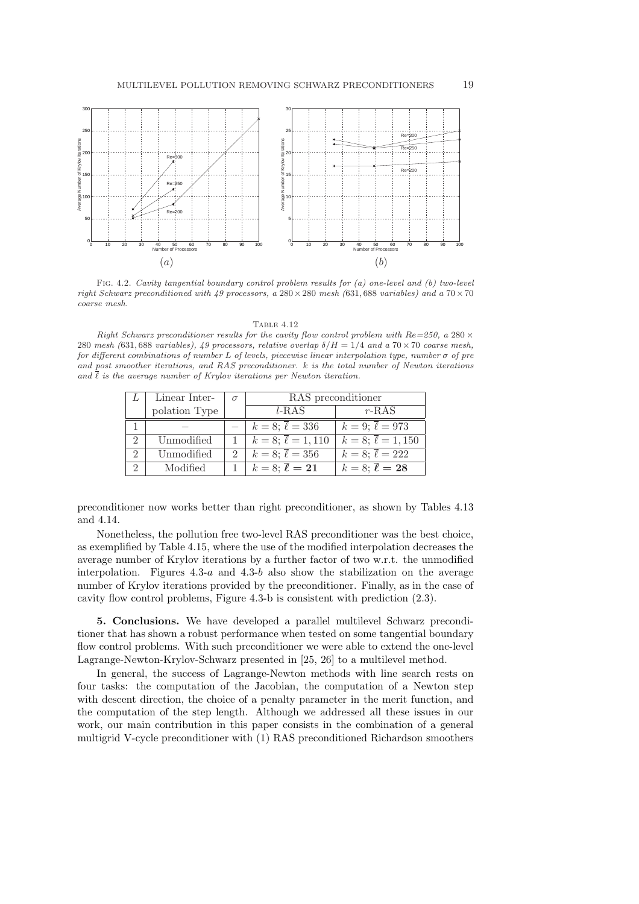

FIG. 4.2. Cavity tangential boundary control problem results for  $(a)$  one-level and  $(b)$  two-level right Schwarz preconditioned with 49 processors, a  $280 \times 280$  mesh (631, 688 variables) and a  $70 \times 70$ coarse mesh.

Right Schwarz preconditioner results for the cavity flow control problem with  $Re = 250$ , a 280  $\times$ 280 mesh (631, 688 variables), 49 processors, relative overlap  $\delta/H = 1/4$  and a 70 × 70 coarse mesh, for different combinations of number L of levels, piecewise linear interpolation type, number  $\sigma$  of pre and post smoother iterations, and RAS preconditioner. k is the total number of Newton iterations and  $\overline{\ell}$  is the average number of Krylov iterations per Newton iteration.

|                             | Linear Inter- | $\sigma$       | RAS preconditioner               |                                  |  |
|-----------------------------|---------------|----------------|----------------------------------|----------------------------------|--|
|                             | polation Type |                | $l$ -RAS                         | $r$ -RAS                         |  |
|                             |               |                | $k = 8; \overline{\ell} = 336$   | $k = 9; \ell = 973$              |  |
|                             | Unmodified    |                | $k = 8; \overline{\ell} = 1,110$ | $k = 8; \overline{\ell} = 1,150$ |  |
| $\mathcal{D}_{\mathcal{L}}$ | Unmodified    | $\mathfrak{D}$ | $k = 8; \ell = 356$              | $k = 8; \ell = 222$              |  |
|                             | Modified      |                | $k=8; \bar{\ell}=21$             | $k=8; \overline{\ell}=28$        |  |

preconditioner now works better than right preconditioner, as shown by Tables 4.13 and 4.14.

Nonetheless, the pollution free two-level RAS preconditioner was the best choice, as exemplified by Table 4.15, where the use of the modified interpolation decreases the average number of Krylov iterations by a further factor of two w.r.t. the unmodified interpolation. Figures  $4.3-a$  and  $4.3-b$  also show the stabilization on the average number of Krylov iterations provided by the preconditioner. Finally, as in the case of cavity flow control problems, Figure 4.3-b is consistent with prediction (2.3).

5. Conclusions. We have developed a parallel multilevel Schwarz preconditioner that has shown a robust performance when tested on some tangential boundary flow control problems. With such preconditioner we were able to extend the one-level Lagrange-Newton-Krylov-Schwarz presented in [25, 26] to a multilevel method.

In general, the success of Lagrange-Newton methods with line search rests on four tasks: the computation of the Jacobian, the computation of a Newton step with descent direction, the choice of a penalty parameter in the merit function, and the computation of the step length. Although we addressed all these issues in our work, our main contribution in this paper consists in the combination of a general multigrid V-cycle preconditioner with (1) RAS preconditioned Richardson smoothers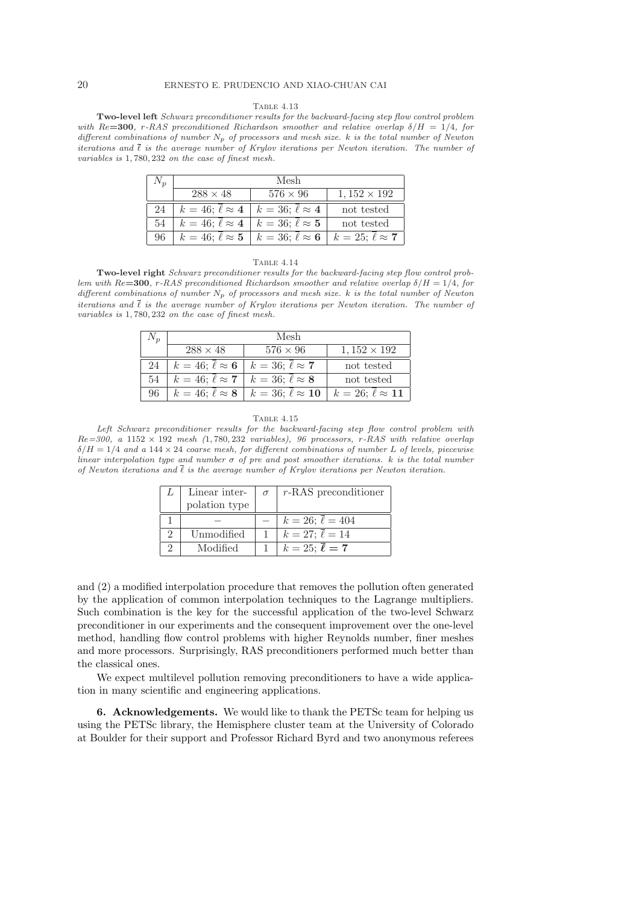Two-level left Schwarz preconditioner results for the backward-facing step flow control problem with Re $=300$ , r-RAS preconditioned Richardson smoother and relative overlap  $\delta/H = 1/4$ , for different combinations of number  $N_p$  of processors and mesh size. k is the total number of Newton iterations and  $\overline{\ell}$  is the average number of Krylov iterations per Newton iteration. The number of variables is 1, 780, 232 on the case of finest mesh.

| $N_p$ | Mesh                              |                              |                                   |  |  |
|-------|-----------------------------------|------------------------------|-----------------------------------|--|--|
|       | $288 \times 48$                   | $576 \times 96$              | $1.152 \times 192$                |  |  |
| 24    | $k=46; \overline{\ell} \approx 4$ | $k=36; \bar{\ell} \approx 4$ | not tested                        |  |  |
| 54    | $k=46; \ell \approx 4$            | $k=36; \ell \approx 5$       | not tested                        |  |  |
| 96    | $k=46; \overline{\ell} \approx 5$ | $k=36; \bar{\ell} \approx 6$ | $k=25; \overline{\ell} \approx 7$ |  |  |

#### Table 4.14

Two-level right Schwarz preconditioner results for the backward-facing step flow control problem with Re=300, r-RAS preconditioned Richardson smoother and relative overlap  $\delta/H = 1/4$ , for different combinations of number  $N_p$  of processors and mesh size. k is the total number of Newton iterations and  $\bar{\ell}$  is the average number of Krylov iterations per Newton iteration. The number of variables is 1, 780, 232 on the case of finest mesh.

| $N_p$ | Mesh                                                                       |                                                                             |                                           |  |  |
|-------|----------------------------------------------------------------------------|-----------------------------------------------------------------------------|-------------------------------------------|--|--|
|       | $288 \times 48$                                                            | $576 \times 96$                                                             | $1.152 \times 192$                        |  |  |
| 24    | $k = 46; \overline{\ell} \approx 6 \vert k = 36; \ell \approx 7$           |                                                                             | not tested                                |  |  |
| 54    | $k = 46; \overline{\ell} \approx 7 \mid k = 36; \overline{\ell} \approx 8$ |                                                                             | not tested                                |  |  |
| 96    |                                                                            | $k = 46; \overline{\ell} \approx 8 \mid k = 36; \overline{\ell} \approx 10$ | $k=26;\, \overline{\ell}\approx {\bf 11}$ |  |  |

#### TABLE  $4.15$

Left Schwarz preconditioner results for the backward-facing step flow control problem with  $Re=300$ , a 1152 × 192 mesh (1,780, 232 variables), 96 processors, r-RAS with relative overlap  $\delta/H = 1/4$  and a 144 × 24 coarse mesh, for different combinations of number L of levels, piecewise linear interpolation type and number  $\sigma$  of pre and post smoother iterations. k is the total number of Newton iterations and  $\overline{\ell}$  is the average number of Krylov iterations per Newton iteration.

| Linear inter- | $\sigma$ | $r$ -RAS preconditioner         |
|---------------|----------|---------------------------------|
| polation type |          |                                 |
|               |          | $k = 26; \overline{\ell} = 404$ |
| Unmodified    |          | $k = 27; \overline{\ell} = 14$  |
| Modified      |          | $k=25; \overline{\ell} = 7$     |

and (2) a modified interpolation procedure that removes the pollution often generated by the application of common interpolation techniques to the Lagrange multipliers. Such combination is the key for the successful application of the two-level Schwarz preconditioner in our experiments and the consequent improvement over the one-level method, handling flow control problems with higher Reynolds number, finer meshes and more processors. Surprisingly, RAS preconditioners performed much better than the classical ones.

We expect multilevel pollution removing preconditioners to have a wide application in many scientific and engineering applications.

6. Acknowledgements. We would like to thank the PETSc team for helping us using the PETSc library, the Hemisphere cluster team at the University of Colorado at Boulder for their support and Professor Richard Byrd and two anonymous referees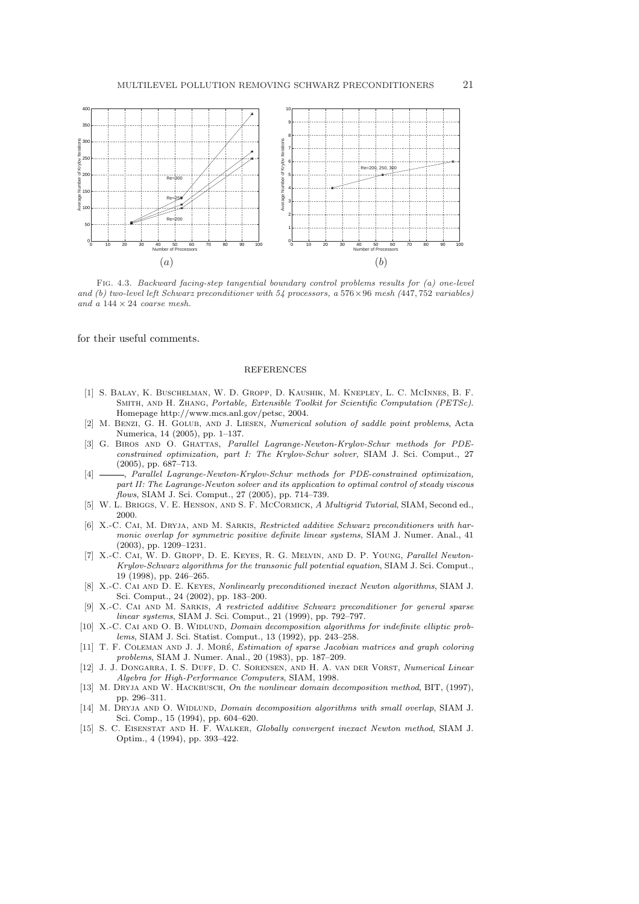

Fig. 4.3. Backward facing-step tangential boundary control problems results for (a) one-level and (b) two-level left Schwarz preconditioner with 54 processors, a  $576 \times 96$  mesh (447, 752 variables) and a  $144 \times 24$  coarse mesh.

for their useful comments.

#### REFERENCES

- [1] S. Balay, K. Buschelman, W. D. Gropp, D. Kaushik, M. Knepley, L. C. McInnes, B. F. SMITH, AND H. ZHANG, Portable, Extensible Toolkit for Scientific Computation (PETSc). Homepage http://www.mcs.anl.gov/petsc, 2004.
- [2] M. Benzi, G. H. Golub, and J. Liesen, Numerical solution of saddle point problems, Acta Numerica, 14 (2005), pp. 1–137.
- [3] G. Biros and O. Ghattas, Parallel Lagrange-Newton-Krylov-Schur methods for PDEconstrained optimization, part I: The Krylov-Schur solver, SIAM J. Sci. Comput., 27 (2005), pp. 687–713.
- [4]  $\frac{[4]}{[4]}$  , Parallel Lagrange-Newton-Krylov-Schur methods for PDE-constrained optimization, part II: The Lagrange-Newton solver and its application to optimal control of steady viscous flows, SIAM J. Sci. Comput., 27 (2005), pp. 714–739.
- [5] W. L. BRIGGS, V. E. HENSON, AND S. F. MCCORMICK, A Multigrid Tutorial, SIAM, Second ed., 2000.
- [6] X.-C. Cai, M. Dryja, and M. Sarkis, Restricted additive Schwarz preconditioners with harmonic overlap for symmetric positive definite linear systems, SIAM J. Numer. Anal., 41 (2003), pp. 1209–1231.
- [7] X.-C. Cai, W. D. Gropp, D. E. Keyes, R. G. Melvin, and D. P. Young, Parallel Newton-Krylov-Schwarz algorithms for the transonic full potential equation, SIAM J. Sci. Comput., 19 (1998), pp. 246–265.
- [8] X.-C. Cai and D. E. Keyes, Nonlinearly preconditioned inexact Newton algorithms, SIAM J. Sci. Comput., 24 (2002), pp. 183–200.
- [9] X.-C. Cai and M. Sarkis, A restricted additive Schwarz preconditioner for general sparse linear systems, SIAM J. Sci. Comput., 21 (1999), pp. 792–797.
- [10] X.-C. CAI AND O. B. WIDLUND, *Domain decomposition algorithms for indefinite elliptic prob*lems, SIAM J. Sci. Statist. Comput., 13 (1992), pp. 243–258.
- [11] T. F. COLEMAN AND J. J. MORÉ, Estimation of sparse Jacobian matrices and graph coloring problems, SIAM J. Numer. Anal., 20 (1983), pp. 187–209.
- [12] J. J. Dongarra, I. S. Duff, D. C. Sorensen, and H. A. van der Vorst, Numerical Linear Algebra for High-Performance Computers, SIAM, 1998.
- [13] M. DRYJA AND W. HACKBUSCH, On the nonlinear domain decomposition method, BIT, (1997), pp. 296–311.
- [14] M. DRYJA AND O. WIDLUND, *Domain decomposition algorithms with small overlap*, SIAM J. Sci. Comp., 15 (1994), pp. 604–620.
- [15] S. C. Eisenstat and H. F. Walker, Globally convergent inexact Newton method, SIAM J. Optim., 4 (1994), pp. 393–422.